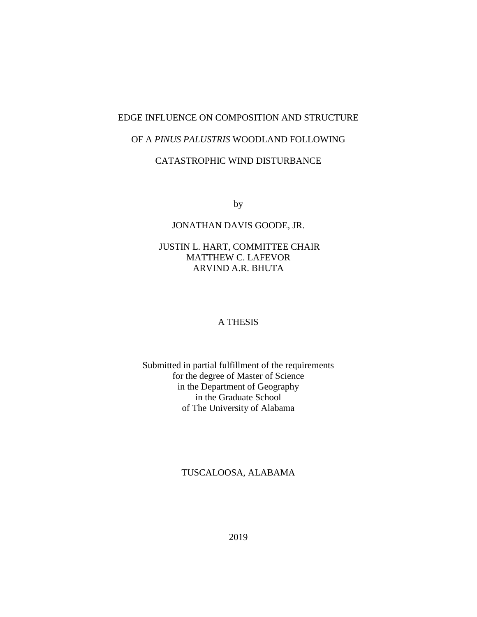# EDGE INFLUENCE ON COMPOSITION AND STRUCTURE

# OF A *PINUS PALUSTRIS* WOODLAND FOLLOWING

# CATASTROPHIC WIND DISTURBANCE

by

# JONATHAN DAVIS GOODE, JR.

# JUSTIN L. HART, COMMITTEE CHAIR MATTHEW C. LAFEVOR ARVIND A.R. BHUTA

## A THESIS

Submitted in partial fulfillment of the requirements for the degree of Master of Science in the Department of Geography in the Graduate School of The University of Alabama

# TUSCALOOSA, ALABAMA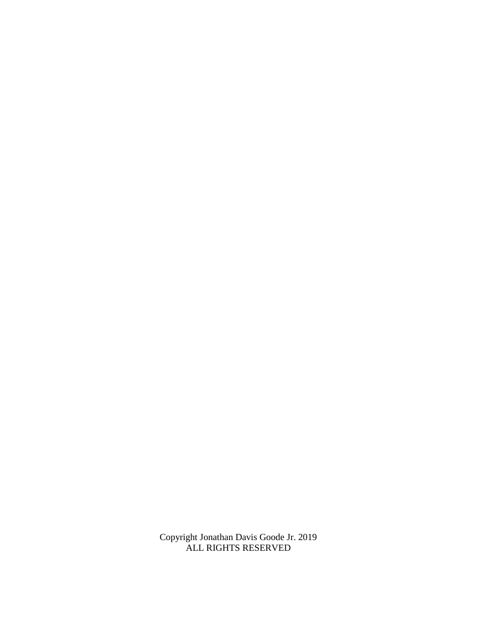Copyright Jonathan Davis Goode Jr. 2019 ALL RIGHTS RESERVED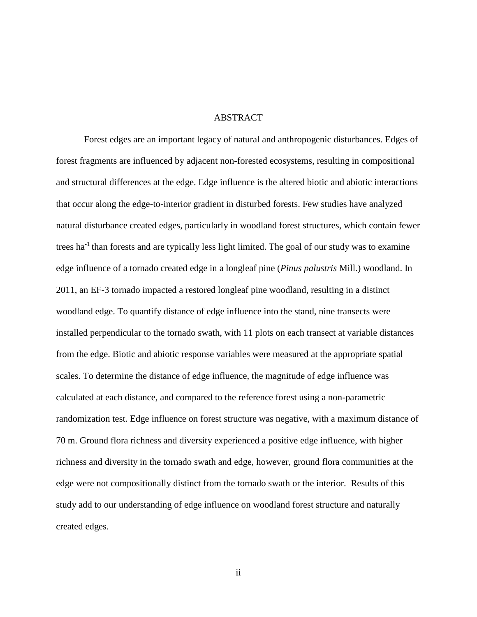## ABSTRACT

Forest edges are an important legacy of natural and anthropogenic disturbances. Edges of forest fragments are influenced by adjacent non-forested ecosystems, resulting in compositional and structural differences at the edge. Edge influence is the altered biotic and abiotic interactions that occur along the edge-to-interior gradient in disturbed forests. Few studies have analyzed natural disturbance created edges, particularly in woodland forest structures, which contain fewer trees ha<sup>-1</sup> than forests and are typically less light limited. The goal of our study was to examine edge influence of a tornado created edge in a longleaf pine (*Pinus palustris* Mill.) woodland. In 2011, an EF-3 tornado impacted a restored longleaf pine woodland, resulting in a distinct woodland edge. To quantify distance of edge influence into the stand, nine transects were installed perpendicular to the tornado swath, with 11 plots on each transect at variable distances from the edge. Biotic and abiotic response variables were measured at the appropriate spatial scales. To determine the distance of edge influence, the magnitude of edge influence was calculated at each distance, and compared to the reference forest using a non-parametric randomization test. Edge influence on forest structure was negative, with a maximum distance of 70 m. Ground flora richness and diversity experienced a positive edge influence, with higher richness and diversity in the tornado swath and edge, however, ground flora communities at the edge were not compositionally distinct from the tornado swath or the interior. Results of this study add to our understanding of edge influence on woodland forest structure and naturally created edges.

ii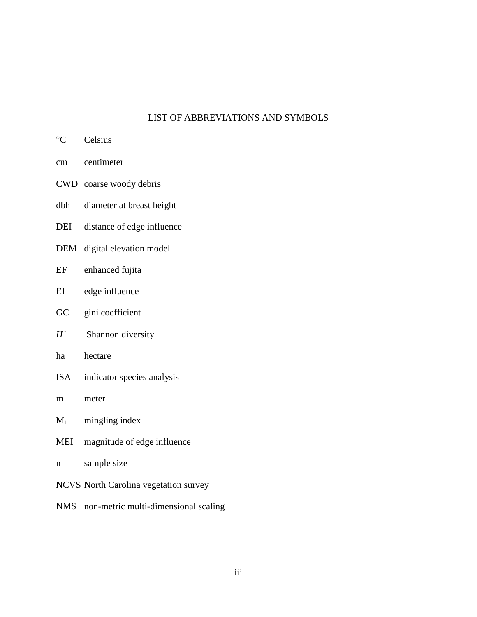# LIST OF ABBREVIATIONS AND SYMBOLS

- <sup>o</sup>C Celsius
- cm centimeter
- CWD coarse woody debris
- dbh diameter at breast height
- DEI distance of edge influence
- DEM digital elevation model
- EF enhanced fujita
- EI edge influence
- GC gini coefficient
- *H´* Shannon diversity
- ha hectare
- ISA indicator species analysis
- m meter
- $M<sub>i</sub>$  mingling index
- MEI magnitude of edge influence
- n sample size
- NCVS North Carolina vegetation survey
- NMS non-metric multi-dimensional scaling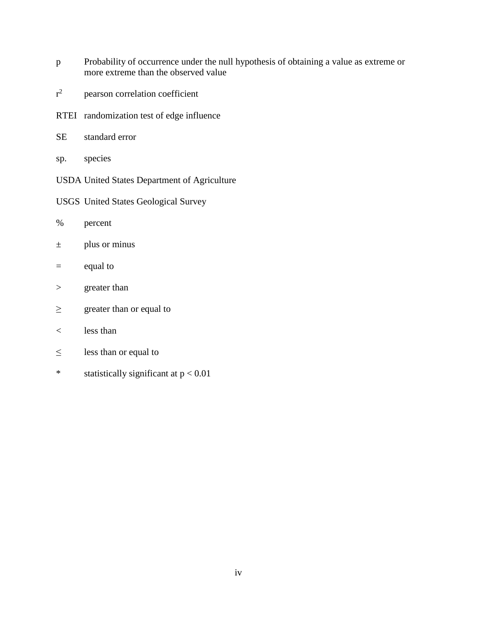- p Probability of occurrence under the null hypothesis of obtaining a value as extreme or more extreme than the observed value
- $r^2$ pearson correlation coefficient
- RTEI randomization test of edge influence
- SE standard error
- sp. species
- USDA United States Department of Agriculture
- USGS United States Geological Survey
- % percent
- $\pm$  plus or minus
- = equal to
- > greater than
- $\geq$  greater than or equal to
- < less than
- $\leq$  less than or equal to
- \* statistically significant at p < 0.01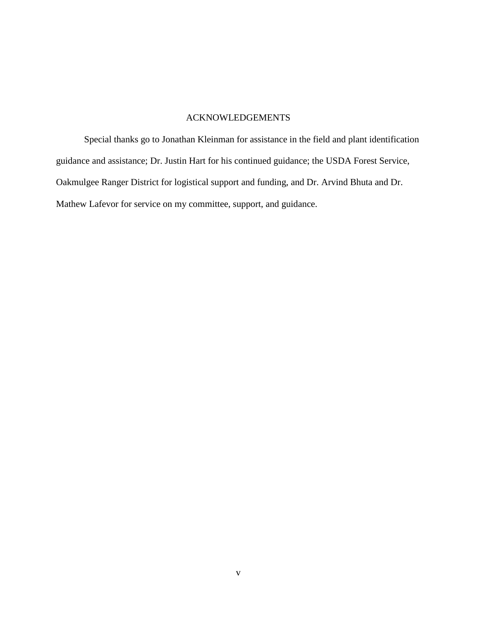## ACKNOWLEDGEMENTS

Special thanks go to Jonathan Kleinman for assistance in the field and plant identification guidance and assistance; Dr. Justin Hart for his continued guidance; the USDA Forest Service, Oakmulgee Ranger District for logistical support and funding, and Dr. Arvind Bhuta and Dr. Mathew Lafevor for service on my committee, support, and guidance.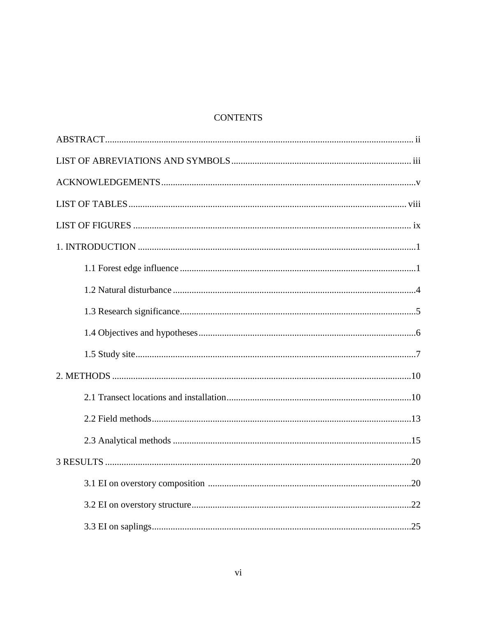# **CONTENTS**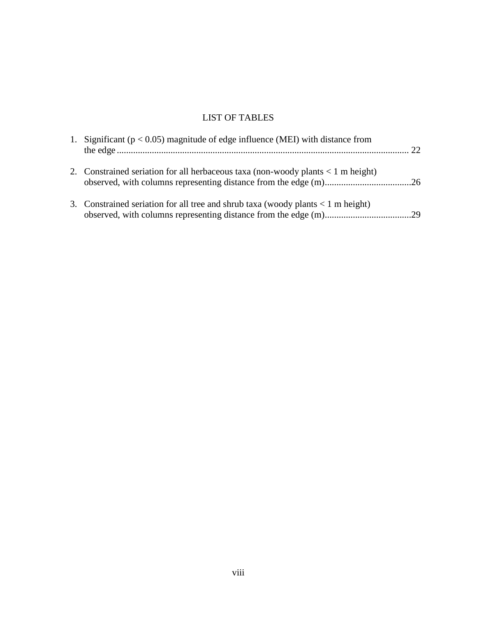# LIST OF TABLES

| 1. Significant ( $p < 0.05$ ) magnitude of edge influence (MEI) with distance from   |  |
|--------------------------------------------------------------------------------------|--|
| 2. Constrained seriation for all herbaceous taxa (non-woody plants $\lt 1$ m height) |  |
| 3. Constrained seriation for all tree and shrub taxa (woody plants $\lt 1$ m height) |  |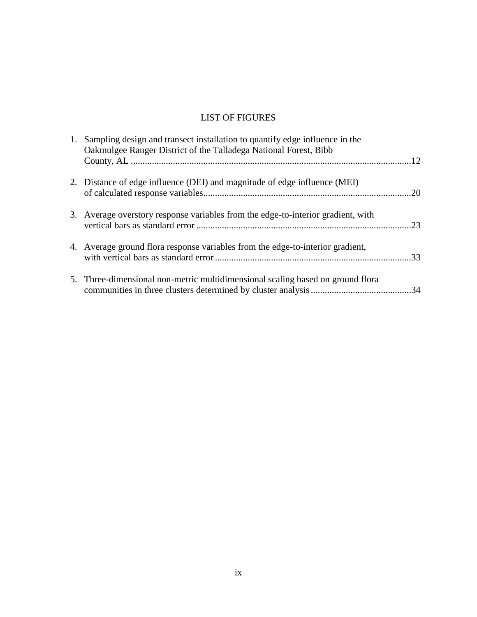# LIST OF FIGURES

| 1. Sampling design and transect installation to quantify edge influence in the<br>Oakmulgee Ranger District of the Talladega National Forest, Bibb |  |
|----------------------------------------------------------------------------------------------------------------------------------------------------|--|
| 2. Distance of edge influence (DEI) and magnitude of edge influence (MEI)                                                                          |  |
| 3. Average overstory response variables from the edge-to-interior gradient, with                                                                   |  |
| 4. Average ground flora response variables from the edge-to-interior gradient,                                                                     |  |
| 5. Three-dimensional non-metric multidimensional scaling based on ground flora                                                                     |  |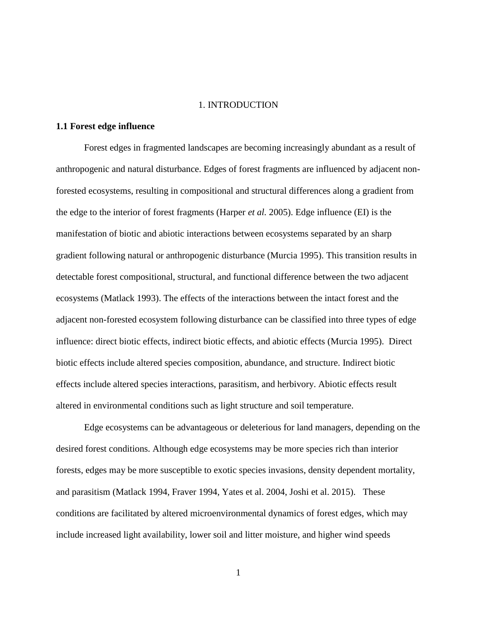### 1. INTRODUCTION

## **1.1 Forest edge influence**

Forest edges in fragmented landscapes are becoming increasingly abundant as a result of anthropogenic and natural disturbance. Edges of forest fragments are influenced by adjacent nonforested ecosystems, resulting in compositional and structural differences along a gradient from the edge to the interior of forest fragments (Harper *et al.* 2005). Edge influence (EI) is the manifestation of biotic and abiotic interactions between ecosystems separated by an sharp gradient following natural or anthropogenic disturbance (Murcia 1995). This transition results in detectable forest compositional, structural, and functional difference between the two adjacent ecosystems (Matlack 1993). The effects of the interactions between the intact forest and the adjacent non-forested ecosystem following disturbance can be classified into three types of edge influence: direct biotic effects, indirect biotic effects, and abiotic effects (Murcia 1995). Direct biotic effects include altered species composition, abundance, and structure. Indirect biotic effects include altered species interactions, parasitism, and herbivory. Abiotic effects result altered in environmental conditions such as light structure and soil temperature.

Edge ecosystems can be advantageous or deleterious for land managers, depending on the desired forest conditions. Although edge ecosystems may be more species rich than interior forests, edges may be more susceptible to exotic species invasions, density dependent mortality, and parasitism (Matlack 1994, Fraver 1994, Yates et al. 2004, Joshi et al. 2015). These conditions are facilitated by altered microenvironmental dynamics of forest edges, which may include increased light availability, lower soil and litter moisture, and higher wind speeds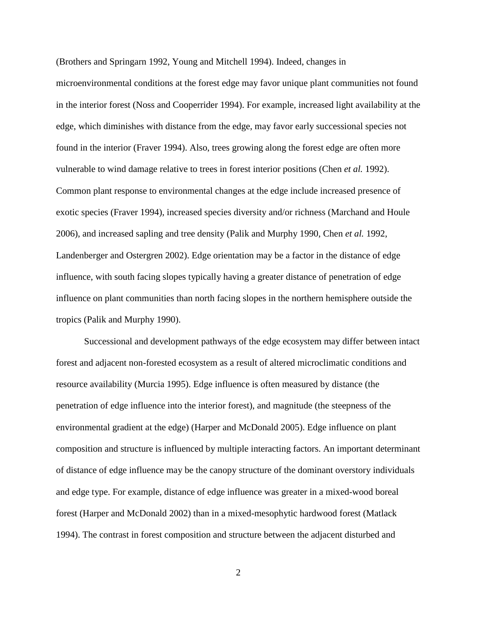(Brothers and Springarn 1992, Young and Mitchell 1994). Indeed, changes in microenvironmental conditions at the forest edge may favor unique plant communities not found in the interior forest (Noss and Cooperrider 1994). For example, increased light availability at the edge, which diminishes with distance from the edge, may favor early successional species not found in the interior (Fraver 1994). Also, trees growing along the forest edge are often more vulnerable to wind damage relative to trees in forest interior positions (Chen *et al.* 1992). Common plant response to environmental changes at the edge include increased presence of exotic species (Fraver 1994), increased species diversity and/or richness (Marchand and Houle 2006), and increased sapling and tree density (Palik and Murphy 1990, Chen *et al.* 1992, Landenberger and Ostergren 2002). Edge orientation may be a factor in the distance of edge influence, with south facing slopes typically having a greater distance of penetration of edge influence on plant communities than north facing slopes in the northern hemisphere outside the tropics (Palik and Murphy 1990).

Successional and development pathways of the edge ecosystem may differ between intact forest and adjacent non-forested ecosystem as a result of altered microclimatic conditions and resource availability (Murcia 1995). Edge influence is often measured by distance (the penetration of edge influence into the interior forest), and magnitude (the steepness of the environmental gradient at the edge) (Harper and McDonald 2005). Edge influence on plant composition and structure is influenced by multiple interacting factors. An important determinant of distance of edge influence may be the canopy structure of the dominant overstory individuals and edge type. For example, distance of edge influence was greater in a mixed-wood boreal forest (Harper and McDonald 2002) than in a mixed-mesophytic hardwood forest (Matlack 1994). The contrast in forest composition and structure between the adjacent disturbed and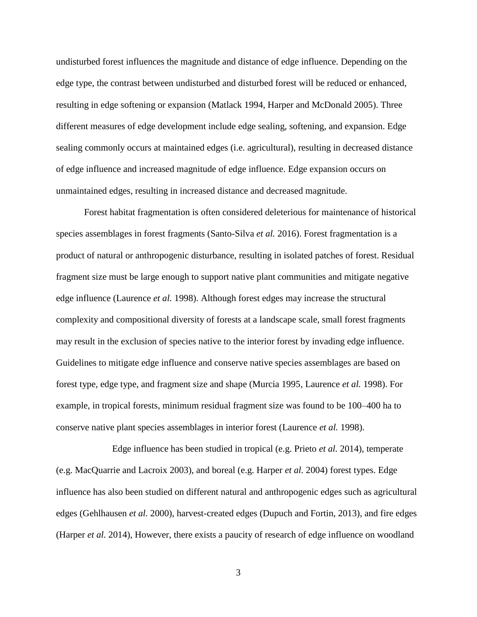undisturbed forest influences the magnitude and distance of edge influence. Depending on the edge type, the contrast between undisturbed and disturbed forest will be reduced or enhanced, resulting in edge softening or expansion (Matlack 1994, Harper and McDonald 2005). Three different measures of edge development include edge sealing, softening, and expansion. Edge sealing commonly occurs at maintained edges (i.e. agricultural), resulting in decreased distance of edge influence and increased magnitude of edge influence. Edge expansion occurs on unmaintained edges, resulting in increased distance and decreased magnitude.

Forest habitat fragmentation is often considered deleterious for maintenance of historical species assemblages in forest fragments (Santo-Silva *et al.* 2016). Forest fragmentation is a product of natural or anthropogenic disturbance, resulting in isolated patches of forest. Residual fragment size must be large enough to support native plant communities and mitigate negative edge influence (Laurence *et al.* 1998). Although forest edges may increase the structural complexity and compositional diversity of forests at a landscape scale, small forest fragments may result in the exclusion of species native to the interior forest by invading edge influence. Guidelines to mitigate edge influence and conserve native species assemblages are based on forest type, edge type, and fragment size and shape (Murcia 1995, Laurence *et al.* 1998). For example, in tropical forests, minimum residual fragment size was found to be 100–400 ha to conserve native plant species assemblages in interior forest (Laurence *et al.* 1998).

Edge influence has been studied in tropical (e.g. Prieto *et al.* 2014), temperate (e.g. MacQuarrie and Lacroix 2003), and boreal (e.g. Harper *et al.* 2004) forest types. Edge influence has also been studied on different natural and anthropogenic edges such as agricultural edges (Gehlhausen *et al.* 2000), harvest-created edges (Dupuch and Fortin, 2013), and fire edges (Harper *et al.* 2014), However, there exists a paucity of research of edge influence on woodland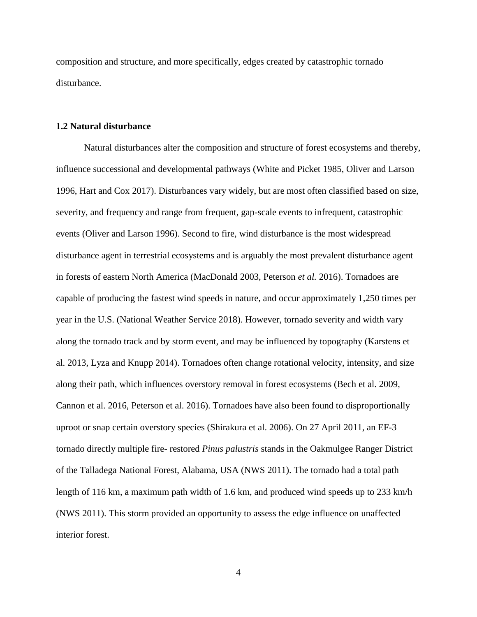composition and structure, and more specifically, edges created by catastrophic tornado disturbance.

## **1.2 Natural disturbance**

Natural disturbances alter the composition and structure of forest ecosystems and thereby, influence successional and developmental pathways (White and Picket 1985, Oliver and Larson 1996, Hart and Cox 2017). Disturbances vary widely, but are most often classified based on size, severity, and frequency and range from frequent, gap-scale events to infrequent, catastrophic events (Oliver and Larson 1996). Second to fire, wind disturbance is the most widespread disturbance agent in terrestrial ecosystems and is arguably the most prevalent disturbance agent in forests of eastern North America (MacDonald 2003, Peterson *et al.* 2016). Tornadoes are capable of producing the fastest wind speeds in nature, and occur approximately 1,250 times per year in the U.S. (National Weather Service 2018). However, tornado severity and width vary along the tornado track and by storm event, and may be influenced by topography (Karstens et al. 2013, Lyza and Knupp 2014). Tornadoes often change rotational velocity, intensity, and size along their path, which influences overstory removal in forest ecosystems (Bech et al. 2009, Cannon et al. 2016, Peterson et al. 2016). Tornadoes have also been found to disproportionally uproot or snap certain overstory species (Shirakura et al. 2006). On 27 April 2011, an EF-3 tornado directly multiple fire- restored *Pinus palustris* stands in the Oakmulgee Ranger District of the Talladega National Forest, Alabama, USA (NWS 2011). The tornado had a total path length of 116 km, a maximum path width of 1.6 km, and produced wind speeds up to 233 km/h (NWS 2011). This storm provided an opportunity to assess the edge influence on unaffected interior forest.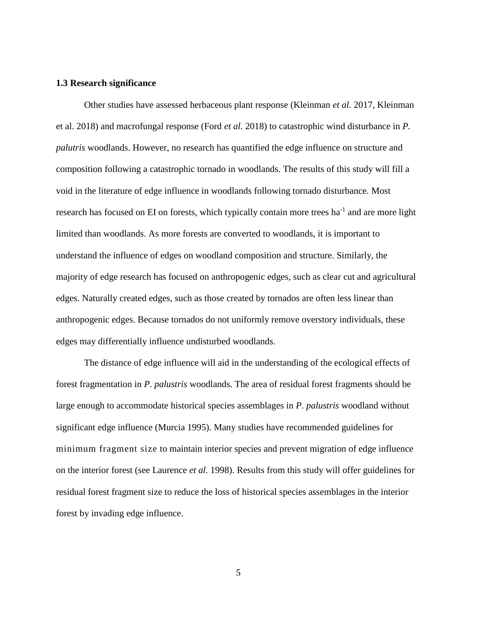## **1.3 Research significance**

Other studies have assessed herbaceous plant response (Kleinman *et al.* 2017, Kleinman et al. 2018) and macrofungal response (Ford *et al.* 2018) to catastrophic wind disturbance in *P. palutris* woodlands. However, no research has quantified the edge influence on structure and composition following a catastrophic tornado in woodlands. The results of this study will fill a void in the literature of edge influence in woodlands following tornado disturbance. Most research has focused on EI on forests, which typically contain more trees ha<sup>-1</sup> and are more light limited than woodlands. As more forests are converted to woodlands, it is important to understand the influence of edges on woodland composition and structure. Similarly, the majority of edge research has focused on anthropogenic edges, such as clear cut and agricultural edges. Naturally created edges, such as those created by tornados are often less linear than anthropogenic edges. Because tornados do not uniformly remove overstory individuals, these edges may differentially influence undisturbed woodlands.

The distance of edge influence will aid in the understanding of the ecological effects of forest fragmentation in *P. palustris* woodlands. The area of residual forest fragments should be large enough to accommodate historical species assemblages in *P. palustris* woodland without significant edge influence (Murcia 1995). Many studies have recommended guidelines for minimum fragment size to maintain interior species and prevent migration of edge influence on the interior forest (see Laurence *et al.* 1998). Results from this study will offer guidelines for residual forest fragment size to reduce the loss of historical species assemblages in the interior forest by invading edge influence.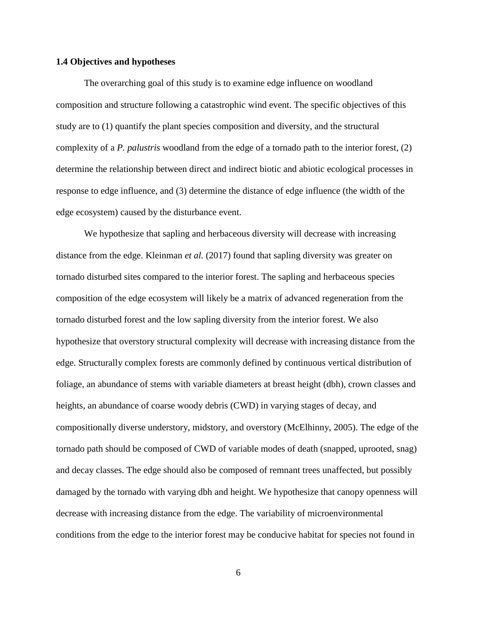#### **1.4 Objectives and hypotheses**

The overarching goal of this study is to examine edge influence on woodland composition and structure following a catastrophic wind event. The specific objectives of this study are to (1) quantify the plant species composition and diversity, and the structural complexity of a *P. palustris* woodland from the edge of a tornado path to the interior forest, (2) determine the relationship between direct and indirect biotic and abiotic ecological processes in response to edge influence, and (3) determine the distance of edge influence (the width of the edge ecosystem) caused by the disturbance event.

We hypothesize that sapling and herbaceous diversity will decrease with increasing distance from the edge. Kleinman *et al.* (2017) found that sapling diversity was greater on tornado disturbed sites compared to the interior forest. The sapling and herbaceous species composition of the edge ecosystem will likely be a matrix of advanced regeneration from the tornado disturbed forest and the low sapling diversity from the interior forest. We also hypothesize that overstory structural complexity will decrease with increasing distance from the edge. Structurally complex forests are commonly defined by continuous vertical distribution of foliage, an abundance of stems with variable diameters at breast height (dbh), crown classes and heights, an abundance of coarse woody debris (CWD) in varying stages of decay, and compositionally diverse understory, midstory, and overstory (McElhinny, 2005). The edge of the tornado path should be composed of CWD of variable modes of death (snapped, uprooted, snag) and decay classes. The edge should also be composed of remnant trees unaffected, but possibly damaged by the tornado with varying dbh and height. We hypothesize that canopy openness will decrease with increasing distance from the edge. The variability of microenvironmental conditions from the edge to the interior forest may be conducive habitat for species not found in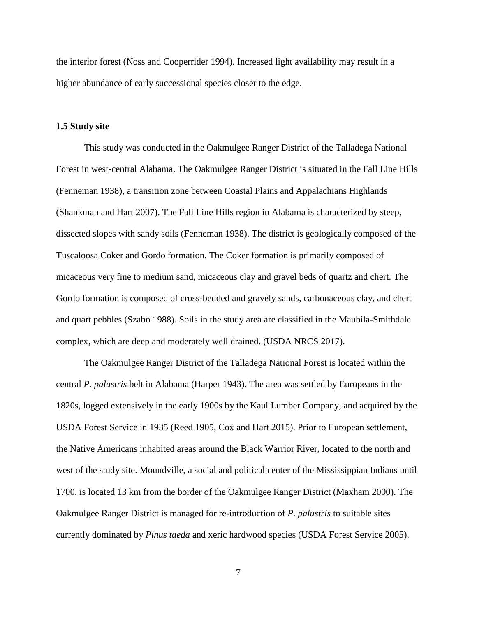the interior forest (Noss and Cooperrider 1994). Increased light availability may result in a higher abundance of early successional species closer to the edge.

#### **1.5 Study site**

This study was conducted in the Oakmulgee Ranger District of the Talladega National Forest in west-central Alabama. The Oakmulgee Ranger District is situated in the Fall Line Hills (Fenneman 1938), a transition zone between Coastal Plains and Appalachians Highlands (Shankman and Hart 2007). The Fall Line Hills region in Alabama is characterized by steep, dissected slopes with sandy soils (Fenneman 1938). The district is geologically composed of the Tuscaloosa Coker and Gordo formation. The Coker formation is primarily composed of micaceous very fine to medium sand, micaceous clay and gravel beds of quartz and chert. The Gordo formation is composed of cross-bedded and gravely sands, carbonaceous clay, and chert and quart pebbles (Szabo 1988). Soils in the study area are classified in the Maubila-Smithdale complex, which are deep and moderately well drained. (USDA NRCS 2017).

The Oakmulgee Ranger District of the Talladega National Forest is located within the central *P. palustris* belt in Alabama (Harper 1943). The area was settled by Europeans in the 1820s, logged extensively in the early 1900s by the Kaul Lumber Company, and acquired by the USDA Forest Service in 1935 (Reed 1905, Cox and Hart 2015). Prior to European settlement, the Native Americans inhabited areas around the Black Warrior River, located to the north and west of the study site. Moundville, a social and political center of the Mississippian Indians until 1700, is located 13 km from the border of the Oakmulgee Ranger District (Maxham 2000). The Oakmulgee Ranger District is managed for re-introduction of *P. palustris* to suitable sites currently dominated by *Pinus taeda* and xeric hardwood species (USDA Forest Service 2005).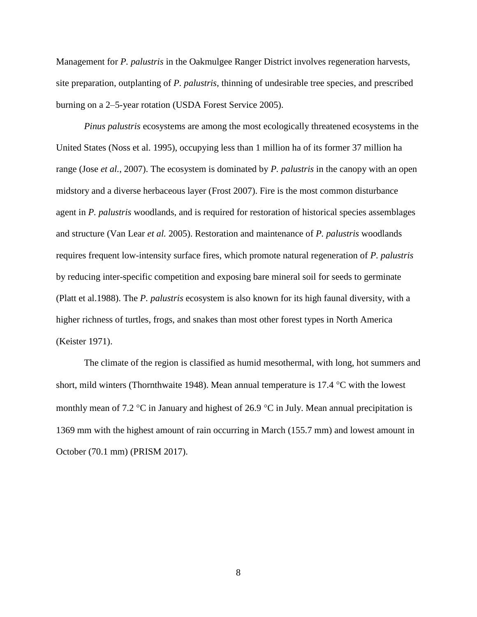Management for *P. palustris* in the Oakmulgee Ranger District involves regeneration harvests, site preparation, outplanting of *P. palustris*, thinning of undesirable tree species, and prescribed burning on a 2–5-year rotation (USDA Forest Service 2005).

*Pinus palustris* ecosystems are among the most ecologically threatened ecosystems in the United States (Noss et al. 1995), occupying less than 1 million ha of its former 37 million ha range (Jose *et al.*, 2007). The ecosystem is dominated by *P. palustris* in the canopy with an open midstory and a diverse herbaceous layer (Frost 2007). Fire is the most common disturbance agent in *P. palustris* woodlands, and is required for restoration of historical species assemblages and structure (Van Lear *et al.* 2005). Restoration and maintenance of *P. palustris* woodlands requires frequent low-intensity surface fires, which promote natural regeneration of *P. palustris* by reducing inter-specific competition and exposing bare mineral soil for seeds to germinate (Platt et al.1988). The *P. palustris* ecosystem is also known for its high faunal diversity, with a higher richness of turtles, frogs, and snakes than most other forest types in North America (Keister 1971).

The climate of the region is classified as humid mesothermal, with long, hot summers and short, mild winters (Thornthwaite 1948). Mean annual temperature is 17.4  $\degree$ C with the lowest monthly mean of 7.2  $\degree$ C in January and highest of 26.9  $\degree$ C in July. Mean annual precipitation is 1369 mm with the highest amount of rain occurring in March (155.7 mm) and lowest amount in October (70.1 mm) (PRISM 2017).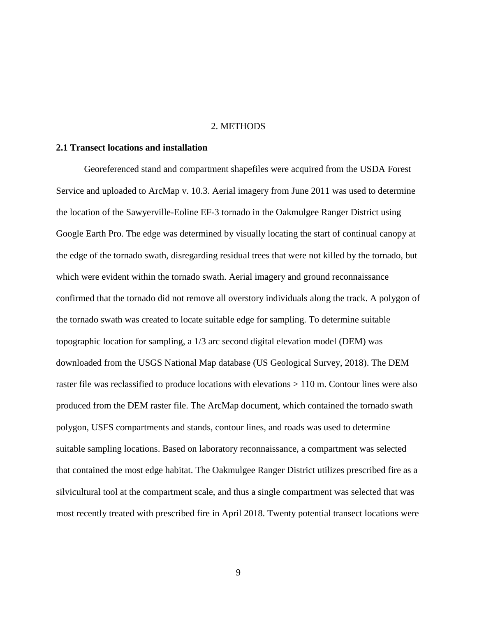### 2. METHODS

## **2.1 Transect locations and installation**

Georeferenced stand and compartment shapefiles were acquired from the USDA Forest Service and uploaded to ArcMap v. 10.3. Aerial imagery from June 2011 was used to determine the location of the Sawyerville-Eoline EF-3 tornado in the Oakmulgee Ranger District using Google Earth Pro. The edge was determined by visually locating the start of continual canopy at the edge of the tornado swath, disregarding residual trees that were not killed by the tornado, but which were evident within the tornado swath. Aerial imagery and ground reconnaissance confirmed that the tornado did not remove all overstory individuals along the track. A polygon of the tornado swath was created to locate suitable edge for sampling. To determine suitable topographic location for sampling, a 1/3 arc second digital elevation model (DEM) was downloaded from the USGS National Map database (US Geological Survey, 2018). The DEM raster file was reclassified to produce locations with elevations > 110 m. Contour lines were also produced from the DEM raster file. The ArcMap document, which contained the tornado swath polygon, USFS compartments and stands, contour lines, and roads was used to determine suitable sampling locations. Based on laboratory reconnaissance, a compartment was selected that contained the most edge habitat. The Oakmulgee Ranger District utilizes prescribed fire as a silvicultural tool at the compartment scale, and thus a single compartment was selected that was most recently treated with prescribed fire in April 2018. Twenty potential transect locations were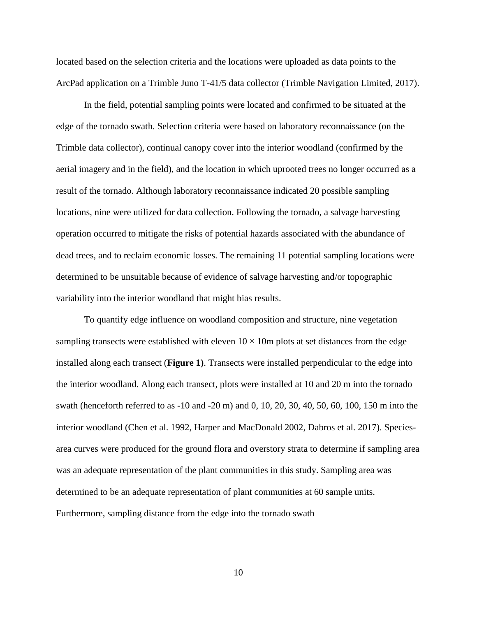located based on the selection criteria and the locations were uploaded as data points to the ArcPad application on a Trimble Juno T-41/5 data collector (Trimble Navigation Limited, 2017).

In the field, potential sampling points were located and confirmed to be situated at the edge of the tornado swath. Selection criteria were based on laboratory reconnaissance (on the Trimble data collector), continual canopy cover into the interior woodland (confirmed by the aerial imagery and in the field), and the location in which uprooted trees no longer occurred as a result of the tornado. Although laboratory reconnaissance indicated 20 possible sampling locations, nine were utilized for data collection. Following the tornado, a salvage harvesting operation occurred to mitigate the risks of potential hazards associated with the abundance of dead trees, and to reclaim economic losses. The remaining 11 potential sampling locations were determined to be unsuitable because of evidence of salvage harvesting and/or topographic variability into the interior woodland that might bias results.

To quantify edge influence on woodland composition and structure, nine vegetation sampling transects were established with eleven  $10 \times 10m$  plots at set distances from the edge installed along each transect (**Figure 1)**. Transects were installed perpendicular to the edge into the interior woodland. Along each transect, plots were installed at 10 and 20 m into the tornado swath (henceforth referred to as -10 and -20 m) and 0, 10, 20, 30, 40, 50, 60, 100, 150 m into the interior woodland (Chen et al. 1992, Harper and MacDonald 2002, Dabros et al. 2017). Speciesarea curves were produced for the ground flora and overstory strata to determine if sampling area was an adequate representation of the plant communities in this study. Sampling area was determined to be an adequate representation of plant communities at 60 sample units. Furthermore, sampling distance from the edge into the tornado swath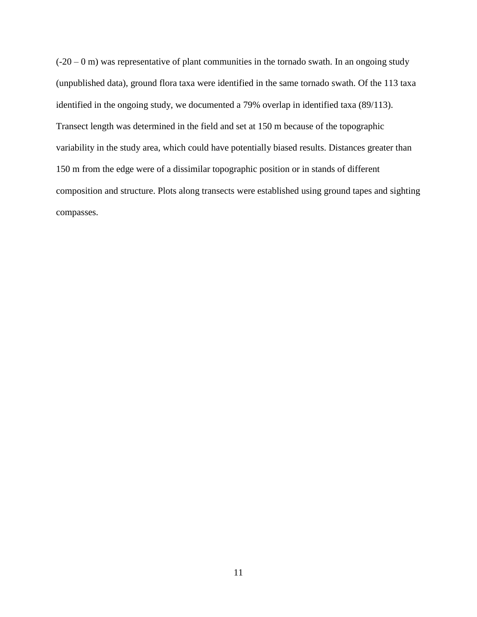$(-20 - 0$  m) was representative of plant communities in the tornado swath. In an ongoing study (unpublished data), ground flora taxa were identified in the same tornado swath. Of the 113 taxa identified in the ongoing study, we documented a 79% overlap in identified taxa (89/113). Transect length was determined in the field and set at 150 m because of the topographic variability in the study area, which could have potentially biased results. Distances greater than 150 m from the edge were of a dissimilar topographic position or in stands of different composition and structure. Plots along transects were established using ground tapes and sighting compasses.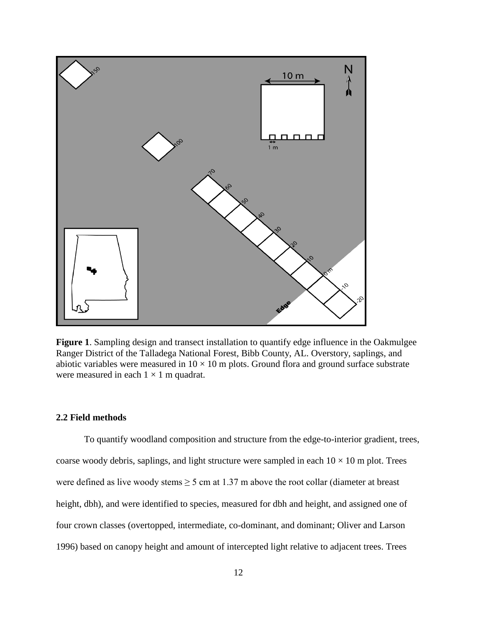

**Figure 1**. Sampling design and transect installation to quantify edge influence in the Oakmulgee Ranger District of the Talladega National Forest, Bibb County, AL. Overstory, saplings, and abiotic variables were measured in  $10 \times 10$  m plots. Ground flora and ground surface substrate were measured in each  $1 \times 1$  m quadrat.

# **2.2 Field methods**

To quantify woodland composition and structure from the edge-to-interior gradient, trees, coarse woody debris, saplings, and light structure were sampled in each  $10 \times 10$  m plot. Trees were defined as live woody stems  $\geq 5$  cm at 1.37 m above the root collar (diameter at breast height, dbh), and were identified to species, measured for dbh and height, and assigned one of four crown classes (overtopped, intermediate, co-dominant, and dominant; Oliver and Larson 1996) based on canopy height and amount of intercepted light relative to adjacent trees. Trees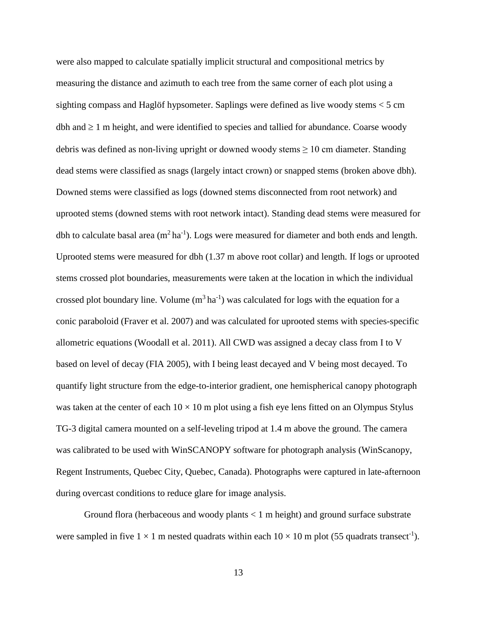were also mapped to calculate spatially implicit structural and compositional metrics by measuring the distance and azimuth to each tree from the same corner of each plot using a sighting compass and Haglöf hypsometer. Saplings were defined as live woody stems < 5 cm dbh and  $\geq 1$  m height, and were identified to species and tallied for abundance. Coarse woody debris was defined as non-living upright or downed woody stems  $\geq 10$  cm diameter. Standing dead stems were classified as snags (largely intact crown) or snapped stems (broken above dbh). Downed stems were classified as logs (downed stems disconnected from root network) and uprooted stems (downed stems with root network intact). Standing dead stems were measured for dbh to calculate basal area  $(m^2 \text{ ha}^{-1})$ . Logs were measured for diameter and both ends and length. Uprooted stems were measured for dbh (1.37 m above root collar) and length. If logs or uprooted stems crossed plot boundaries, measurements were taken at the location in which the individual crossed plot boundary line. Volume  $(m^3 \text{ ha}^{-1})$  was calculated for logs with the equation for a conic paraboloid (Fraver et al. 2007) and was calculated for uprooted stems with species-specific allometric equations (Woodall et al. 2011). All CWD was assigned a decay class from I to V based on level of decay (FIA 2005), with I being least decayed and V being most decayed. To quantify light structure from the edge-to-interior gradient, one hemispherical canopy photograph was taken at the center of each  $10 \times 10$  m plot using a fish eye lens fitted on an Olympus Stylus TG-3 digital camera mounted on a self-leveling tripod at 1.4 m above the ground. The camera was calibrated to be used with WinSCANOPY software for photograph analysis (WinScanopy, Regent Instruments, Quebec City, Quebec, Canada). Photographs were captured in late-afternoon during overcast conditions to reduce glare for image analysis.

Ground flora (herbaceous and woody plants < 1 m height) and ground surface substrate were sampled in five  $1 \times 1$  m nested quadrats within each  $10 \times 10$  m plot (55 quadrats transect<sup>-1</sup>).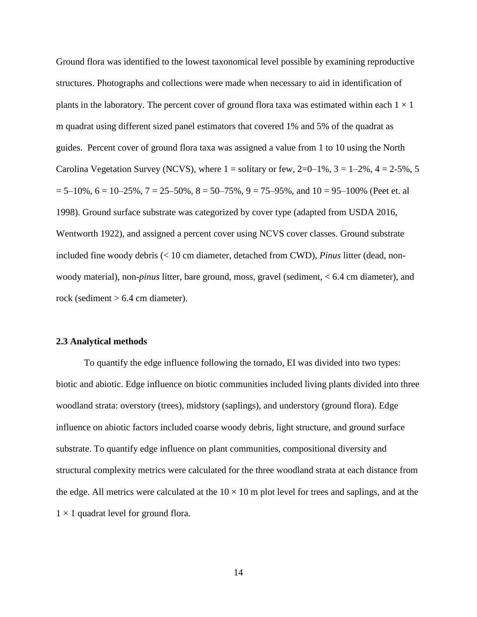Ground flora was identified to the lowest taxonomical level possible by examining reproductive structures. Photographs and collections were made when necessary to aid in identification of plants in the laboratory. The percent cover of ground flora taxa was estimated within each  $1 \times 1$ m quadrat using different sized panel estimators that covered 1% and 5% of the quadrat as guides. Percent cover of ground flora taxa was assigned a value from 1 to 10 using the North Carolina Vegetation Survey (NCVS), where  $1 =$  solitary or few,  $2=0-1\%$ ,  $3 = 1-2\%$ ,  $4 = 2-5\%$ , 5  $= 5-10\%$ ,  $6 = 10-25\%$ ,  $7 = 25-50\%$ ,  $8 = 50-75\%$ ,  $9 = 75-95\%$ , and  $10 = 95-100\%$  (Peet et. al 1998). Ground surface substrate was categorized by cover type (adapted from USDA 2016, Wentworth 1922), and assigned a percent cover using NCVS cover classes. Ground substrate included fine woody debris (< 10 cm diameter, detached from CWD), *Pinus* litter (dead, nonwoody material), non-*pinus* litter, bare ground, moss, gravel (sediment, < 6.4 cm diameter), and rock (sediment  $> 6.4$  cm diameter).

#### **2.3 Analytical methods**

To quantify the edge influence following the tornado, EI was divided into two types: biotic and abiotic. Edge influence on biotic communities included living plants divided into three woodland strata: overstory (trees), midstory (saplings), and understory (ground flora). Edge influence on abiotic factors included coarse woody debris, light structure, and ground surface substrate. To quantify edge influence on plant communities, compositional diversity and structural complexity metrics were calculated for the three woodland strata at each distance from the edge. All metrics were calculated at the  $10 \times 10$  m plot level for trees and saplings, and at the  $1 \times 1$  quadrat level for ground flora.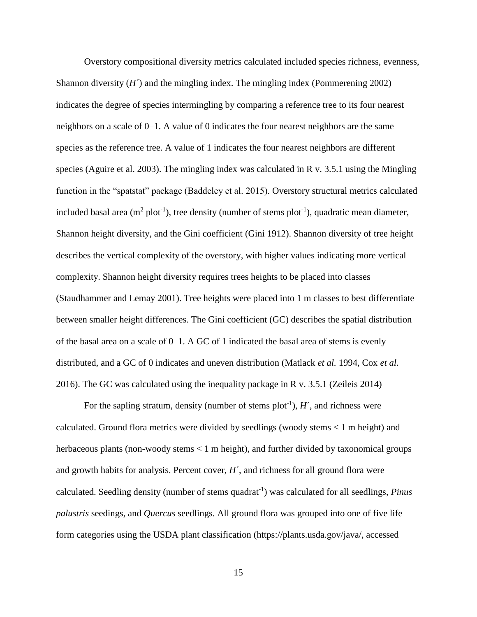Overstory compositional diversity metrics calculated included species richness, evenness, Shannon diversity  $(H')$  and the mingling index. The mingling index (Pommerening 2002) indicates the degree of species intermingling by comparing a reference tree to its four nearest neighbors on a scale of 0–1. A value of 0 indicates the four nearest neighbors are the same species as the reference tree. A value of 1 indicates the four nearest neighbors are different species (Aguire et al. 2003). The mingling index was calculated in R v. 3.5.1 using the Mingling function in the "spatstat" package (Baddeley et al. 2015). Overstory structural metrics calculated included basal area ( $m^2$  plot<sup>-1</sup>), tree density (number of stems plot<sup>-1</sup>), quadratic mean diameter, Shannon height diversity, and the Gini coefficient (Gini 1912). Shannon diversity of tree height describes the vertical complexity of the overstory, with higher values indicating more vertical complexity. Shannon height diversity requires trees heights to be placed into classes (Staudhammer and Lemay 2001). Tree heights were placed into 1 m classes to best differentiate between smaller height differences. The Gini coefficient (GC) describes the spatial distribution of the basal area on a scale of 0–1. A GC of 1 indicated the basal area of stems is evenly distributed, and a GC of 0 indicates and uneven distribution (Matlack *et al.* 1994, Cox *et al.* 2016). The GC was calculated using the inequality package in R v. 3.5.1 (Zeileis 2014)

For the sapling stratum, density (number of stems  $plot^{-1}$ ),  $H'$ , and richness were calculated. Ground flora metrics were divided by seedlings (woody stems < 1 m height) and herbaceous plants (non-woody stems < 1 m height), and further divided by taxonomical groups and growth habits for analysis. Percent cover, *H*´, and richness for all ground flora were calculated. Seedling density (number of stems quadrat<sup>-1</sup>) was calculated for all seedlings, *Pinus palustris* seedings, and *Quercus* seedlings. All ground flora was grouped into one of five life form categories using the USDA plant classification (https://plants.usda.gov/java/, accessed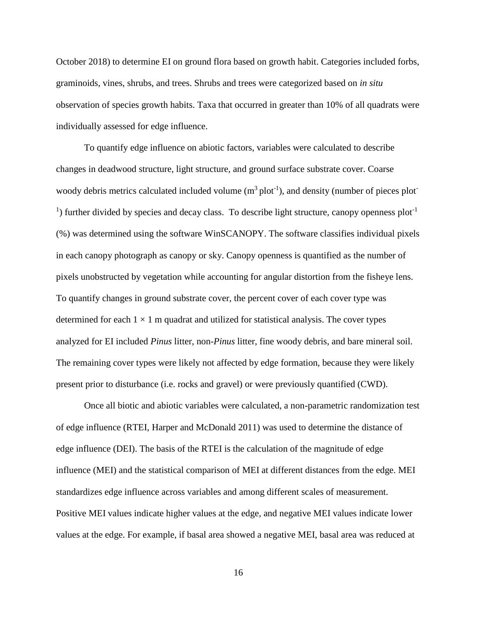October 2018) to determine EI on ground flora based on growth habit. Categories included forbs, graminoids, vines, shrubs, and trees. Shrubs and trees were categorized based on *in situ* observation of species growth habits. Taxa that occurred in greater than 10% of all quadrats were individually assessed for edge influence.

To quantify edge influence on abiotic factors, variables were calculated to describe changes in deadwood structure, light structure, and ground surface substrate cover. Coarse woody debris metrics calculated included volume  $(m^3 \text{plot}^{-1})$ , and density (number of pieces plot <sup>1</sup>) further divided by species and decay class. To describe light structure, canopy openness plot<sup>-1</sup> (%) was determined using the software WinSCANOPY. The software classifies individual pixels in each canopy photograph as canopy or sky. Canopy openness is quantified as the number of pixels unobstructed by vegetation while accounting for angular distortion from the fisheye lens. To quantify changes in ground substrate cover, the percent cover of each cover type was determined for each  $1 \times 1$  m quadrat and utilized for statistical analysis. The cover types analyzed for EI included *Pinus* litter, non-*Pinus* litter, fine woody debris, and bare mineral soil. The remaining cover types were likely not affected by edge formation, because they were likely present prior to disturbance (i.e. rocks and gravel) or were previously quantified (CWD).

Once all biotic and abiotic variables were calculated, a non-parametric randomization test of edge influence (RTEI, Harper and McDonald 2011) was used to determine the distance of edge influence (DEI). The basis of the RTEI is the calculation of the magnitude of edge influence (MEI) and the statistical comparison of MEI at different distances from the edge. MEI standardizes edge influence across variables and among different scales of measurement. Positive MEI values indicate higher values at the edge, and negative MEI values indicate lower values at the edge. For example, if basal area showed a negative MEI, basal area was reduced at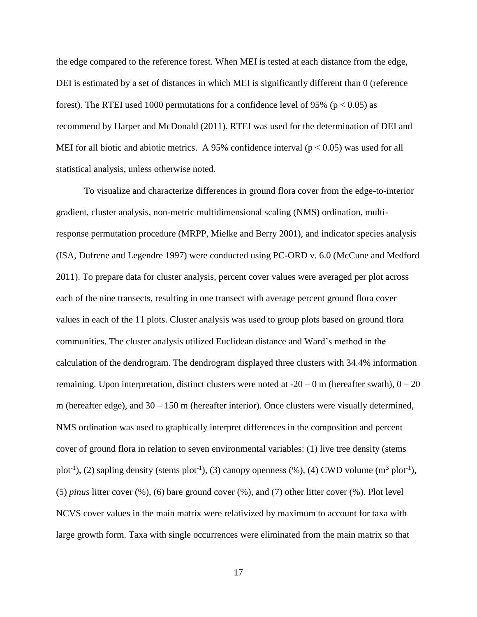the edge compared to the reference forest. When MEI is tested at each distance from the edge, DEI is estimated by a set of distances in which MEI is significantly different than 0 (reference forest). The RTEI used 1000 permutations for a confidence level of 95% ( $p < 0.05$ ) as recommend by Harper and McDonald (2011). RTEI was used for the determination of DEI and MEI for all biotic and abiotic metrics. A 95% confidence interval ( $p < 0.05$ ) was used for all statistical analysis, unless otherwise noted.

To visualize and characterize differences in ground flora cover from the edge-to-interior gradient, cluster analysis, non-metric multidimensional scaling (NMS) ordination, multiresponse permutation procedure (MRPP, Mielke and Berry 2001), and indicator species analysis (ISA, Dufrene and Legendre 1997) were conducted using PC-ORD v. 6.0 (McCune and Medford 2011). To prepare data for cluster analysis, percent cover values were averaged per plot across each of the nine transects, resulting in one transect with average percent ground flora cover values in each of the 11 plots. Cluster analysis was used to group plots based on ground flora communities. The cluster analysis utilized Euclidean distance and Ward's method in the calculation of the dendrogram. The dendrogram displayed three clusters with 34.4% information remaining. Upon interpretation, distinct clusters were noted at  $-20 - 0$  m (hereafter swath),  $0 - 20$ m (hereafter edge), and  $30 - 150$  m (hereafter interior). Once clusters were visually determined, NMS ordination was used to graphically interpret differences in the composition and percent cover of ground flora in relation to seven environmental variables: (1) live tree density (stems plot<sup>-1</sup>), (2) sapling density (stems plot<sup>-1</sup>), (3) canopy openness (%), (4) CWD volume (m<sup>3</sup> plot<sup>-1</sup>), (5) *pinus* litter cover (%), (6) bare ground cover (%), and (7) other litter cover (%). Plot level NCVS cover values in the main matrix were relativized by maximum to account for taxa with large growth form. Taxa with single occurrences were eliminated from the main matrix so that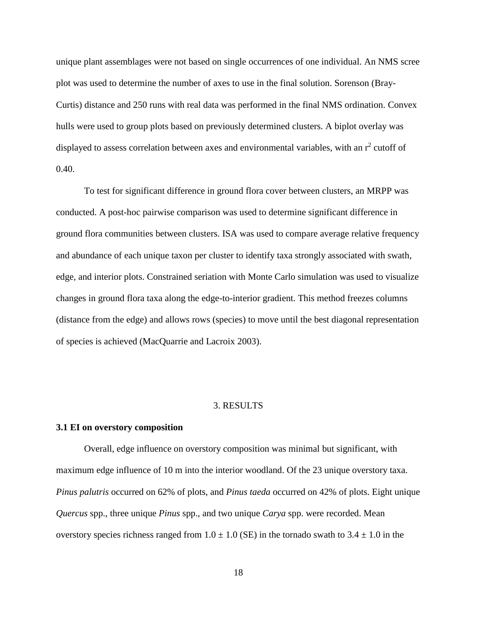unique plant assemblages were not based on single occurrences of one individual. An NMS scree plot was used to determine the number of axes to use in the final solution. Sorenson (Bray-Curtis) distance and 250 runs with real data was performed in the final NMS ordination. Convex hulls were used to group plots based on previously determined clusters. A biplot overlay was displayed to assess correlation between axes and environmental variables, with an  $r^2$  cutoff of  $0.40.$ 

To test for significant difference in ground flora cover between clusters, an MRPP was conducted. A post-hoc pairwise comparison was used to determine significant difference in ground flora communities between clusters. ISA was used to compare average relative frequency and abundance of each unique taxon per cluster to identify taxa strongly associated with swath, edge, and interior plots. Constrained seriation with Monte Carlo simulation was used to visualize changes in ground flora taxa along the edge-to-interior gradient. This method freezes columns (distance from the edge) and allows rows (species) to move until the best diagonal representation of species is achieved (MacQuarrie and Lacroix 2003).

### 3. RESULTS

#### **3.1 EI on overstory composition**

Overall, edge influence on overstory composition was minimal but significant, with maximum edge influence of 10 m into the interior woodland. Of the 23 unique overstory taxa. *Pinus palutris* occurred on 62% of plots, and *Pinus taeda* occurred on 42% of plots. Eight unique *Quercus* spp., three unique *Pinus* spp., and two unique *Carya* spp. were recorded. Mean overstory species richness ranged from  $1.0 \pm 1.0$  (SE) in the tornado swath to  $3.4 \pm 1.0$  in the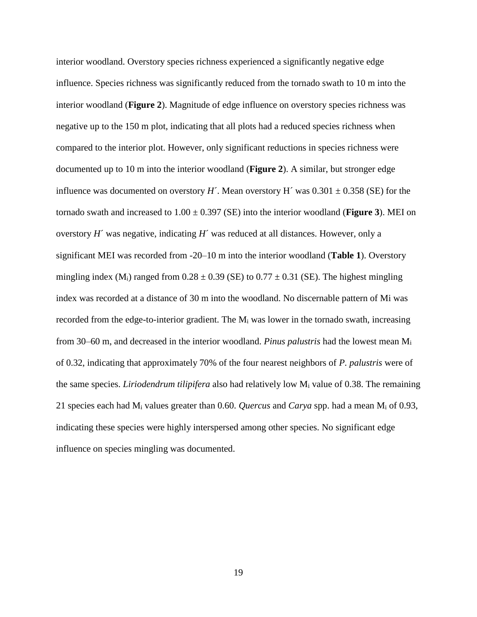interior woodland. Overstory species richness experienced a significantly negative edge influence. Species richness was significantly reduced from the tornado swath to 10 m into the interior woodland (**Figure 2**). Magnitude of edge influence on overstory species richness was negative up to the 150 m plot, indicating that all plots had a reduced species richness when compared to the interior plot. However, only significant reductions in species richness were documented up to 10 m into the interior woodland (**Figure 2**). A similar, but stronger edge influence was documented on overstory *H*<sup> $\prime$ </sup>. Mean overstory H<sup> $\prime$ </sup> was 0.301  $\pm$  0.358 (SE) for the tornado swath and increased to  $1.00 \pm 0.397$  (SE) into the interior woodland (**Figure 3**). MEI on overstory *H*<sup> $\prime$ </sup> was negative, indicating *H*<sup> $\prime$ </sup> was reduced at all distances. However, only a significant MEI was recorded from -20–10 m into the interior woodland (**Table 1**). Overstory mingling index (M<sub>i</sub>) ranged from  $0.28 \pm 0.39$  (SE) to  $0.77 \pm 0.31$  (SE). The highest mingling index was recorded at a distance of 30 m into the woodland. No discernable pattern of Mi was recorded from the edge-to-interior gradient. The  $M_i$  was lower in the tornado swath, increasing from 30–60 m, and decreased in the interior woodland. *Pinus palustris* had the lowest mean M<sup>i</sup> of 0.32, indicating that approximately 70% of the four nearest neighbors of *P. palustris* were of the same species. *Liriodendrum tilipifera* also had relatively low M<sup>i</sup> value of 0.38. The remaining 21 species each had M<sup>i</sup> values greater than 0.60. *Quercus* and *Carya* spp. had a mean M<sup>i</sup> of 0.93, indicating these species were highly interspersed among other species. No significant edge influence on species mingling was documented.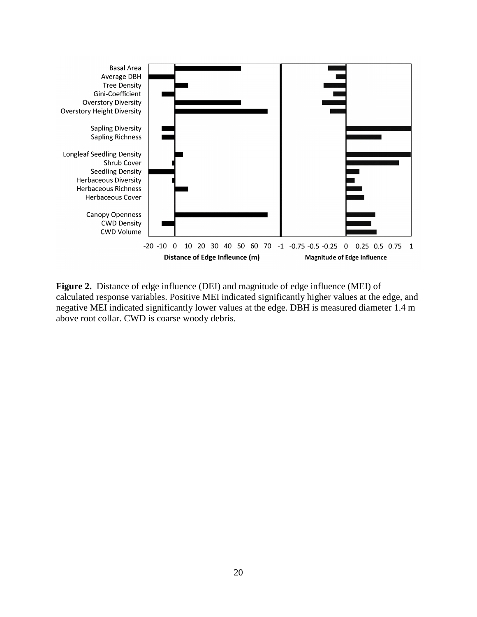

**Figure 2.** Distance of edge influence (DEI) and magnitude of edge influence (MEI) of calculated response variables. Positive MEI indicated significantly higher values at the edge, and negative MEI indicated significantly lower values at the edge. DBH is measured diameter 1.4 m above root collar. CWD is coarse woody debris.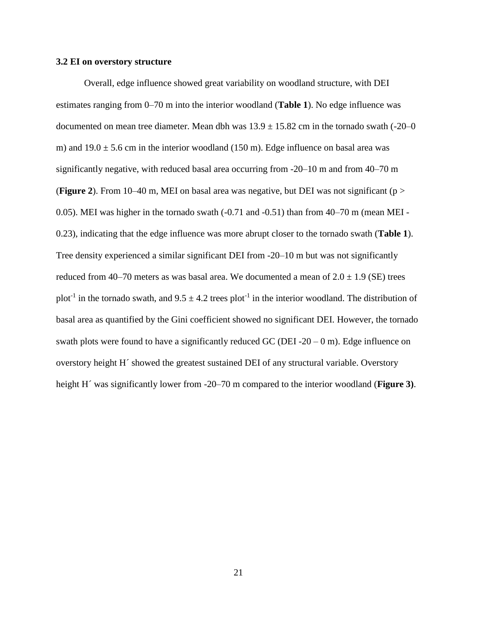### **3.2 EI on overstory structure**

Overall, edge influence showed great variability on woodland structure, with DEI estimates ranging from 0–70 m into the interior woodland (**Table 1**). No edge influence was documented on mean tree diameter. Mean dbh was  $13.9 \pm 15.82$  cm in the tornado swath (-20–0 m) and  $19.0 \pm 5.6$  cm in the interior woodland (150 m). Edge influence on basal area was significantly negative, with reduced basal area occurring from -20–10 m and from 40–70 m (**Figure 2**). From 10–40 m, MEI on basal area was negative, but DEI was not significant (p > 0.05). MEI was higher in the tornado swath (-0.71 and -0.51) than from 40–70 m (mean MEI - 0.23), indicating that the edge influence was more abrupt closer to the tornado swath (**Table 1**). Tree density experienced a similar significant DEI from -20–10 m but was not significantly reduced from 40–70 meters as was basal area. We documented a mean of  $2.0 \pm 1.9$  (SE) trees plot<sup>-1</sup> in the tornado swath, and  $9.5 \pm 4.2$  trees plot<sup>-1</sup> in the interior woodland. The distribution of basal area as quantified by the Gini coefficient showed no significant DEI. However, the tornado swath plots were found to have a significantly reduced GC (DEI -20 – 0 m). Edge influence on overstory height H´ showed the greatest sustained DEI of any structural variable. Overstory height H´ was significantly lower from -20–70 m compared to the interior woodland (**Figure 3)**.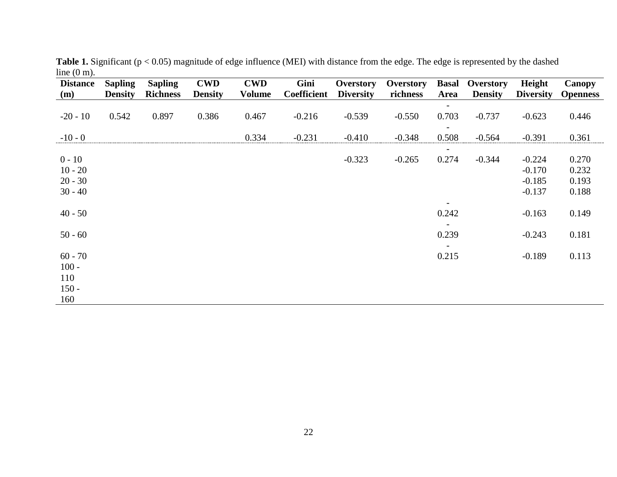| <b>Distance</b><br>(m)           | <b>Sapling</b><br><b>Density</b> | <b>Sapling</b><br><b>Richness</b> | <b>CWD</b><br><b>Density</b> | <b>CWD</b><br><b>Volume</b> | Gini<br><b>Coefficient</b> | <b>Overstory</b><br><b>Diversity</b> | <b>Overstory</b><br>richness | <b>Basal</b><br>Area | <b>Overstory</b><br><b>Density</b> | Height<br><b>Diversity</b> | <b>Canopy</b><br><b>Openness</b> |
|----------------------------------|----------------------------------|-----------------------------------|------------------------------|-----------------------------|----------------------------|--------------------------------------|------------------------------|----------------------|------------------------------------|----------------------------|----------------------------------|
|                                  |                                  |                                   |                              |                             |                            |                                      |                              |                      |                                    |                            |                                  |
| $-20 - 10$                       | 0.542                            | 0.897                             | 0.386                        | 0.467                       | $-0.216$                   | $-0.539$                             | $-0.550$                     | 0.703                | $-0.737$                           | $-0.623$                   | 0.446                            |
| $-10 - 0$                        |                                  |                                   |                              | 0.334                       | $-0.231$                   | $-0.410$                             | $-0.348$                     | 0.508                | $-0.564$                           | $-0.391$                   | 0.361                            |
|                                  |                                  |                                   |                              |                             |                            |                                      |                              |                      |                                    |                            |                                  |
| $0 - 10$                         |                                  |                                   |                              |                             |                            | $-0.323$                             | $-0.265$                     | 0.274                | $-0.344$                           | $-0.224$                   | 0.270                            |
| $10 - 20$                        |                                  |                                   |                              |                             |                            |                                      |                              |                      |                                    | $-0.170$                   | 0.232                            |
| $20 - 30$                        |                                  |                                   |                              |                             |                            |                                      |                              |                      |                                    | $-0.185$                   | 0.193                            |
| $30 - 40$                        |                                  |                                   |                              |                             |                            |                                      |                              |                      |                                    | $-0.137$                   | 0.188                            |
|                                  |                                  |                                   |                              |                             |                            |                                      |                              |                      |                                    |                            |                                  |
| $40 - 50$                        |                                  |                                   |                              |                             |                            |                                      |                              | 0.242                |                                    | $-0.163$                   | 0.149                            |
|                                  |                                  |                                   |                              |                             |                            |                                      |                              |                      |                                    |                            |                                  |
| $50 - 60$                        |                                  |                                   |                              |                             |                            |                                      |                              | 0.239                |                                    | $-0.243$                   | 0.181                            |
|                                  |                                  |                                   |                              |                             |                            |                                      |                              |                      |                                    |                            |                                  |
| $60 - 70$                        |                                  |                                   |                              |                             |                            |                                      |                              | 0.215                |                                    | $-0.189$                   | 0.113                            |
|                                  |                                  |                                   |                              |                             |                            |                                      |                              |                      |                                    |                            |                                  |
|                                  |                                  |                                   |                              |                             |                            |                                      |                              |                      |                                    |                            |                                  |
|                                  |                                  |                                   |                              |                             |                            |                                      |                              |                      |                                    |                            |                                  |
|                                  |                                  |                                   |                              |                             |                            |                                      |                              |                      |                                    |                            |                                  |
| $100 -$<br>110<br>$150 -$<br>160 |                                  |                                   |                              |                             |                            |                                      |                              |                      |                                    |                            |                                  |

**Table 1.** Significant (p < 0.05) magnitude of edge influence (MEI) with distance from the edge. The edge is represented by the dashed line (0 m).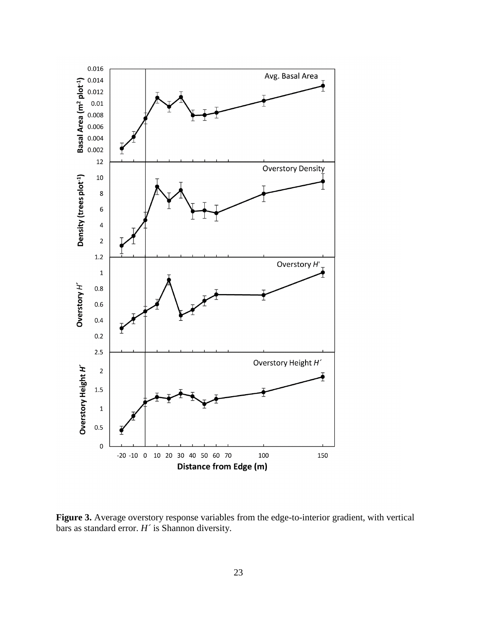

Figure 3. Average overstory response variables from the edge-to-interior gradient, with vertical bars as standard error. *H´* is Shannon diversity.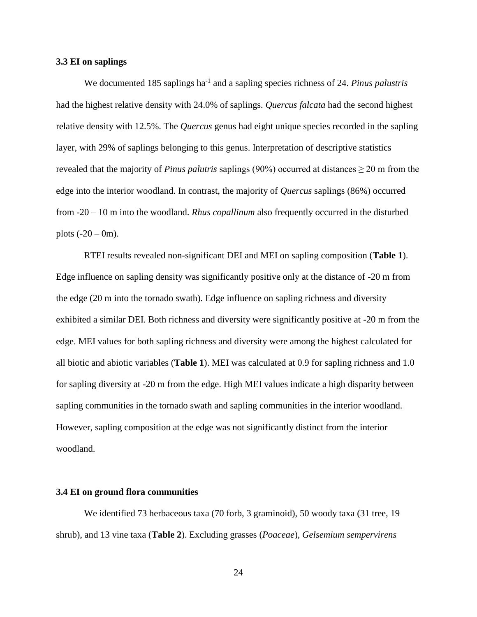## **3.3 EI on saplings**

We documented 185 saplings ha<sup>-1</sup> and a sapling species richness of 24. *Pinus palustris* had the highest relative density with 24.0% of saplings. *Quercus falcata* had the second highest relative density with 12.5%. The *Quercus* genus had eight unique species recorded in the sapling layer, with 29% of saplings belonging to this genus. Interpretation of descriptive statistics revealed that the majority of *Pinus palutris* saplings (90%) occurred at distances  $\geq$  20 m from the edge into the interior woodland. In contrast, the majority of *Quercus* saplings (86%) occurred from -20 – 10 m into the woodland. *Rhus copallinum* also frequently occurred in the disturbed plots  $(-20 - 0m)$ .

RTEI results revealed non-significant DEI and MEI on sapling composition (**Table 1**). Edge influence on sapling density was significantly positive only at the distance of -20 m from the edge (20 m into the tornado swath). Edge influence on sapling richness and diversity exhibited a similar DEI. Both richness and diversity were significantly positive at -20 m from the edge. MEI values for both sapling richness and diversity were among the highest calculated for all biotic and abiotic variables (**Table 1**). MEI was calculated at 0.9 for sapling richness and 1.0 for sapling diversity at -20 m from the edge. High MEI values indicate a high disparity between sapling communities in the tornado swath and sapling communities in the interior woodland. However, sapling composition at the edge was not significantly distinct from the interior woodland.

#### **3.4 EI on ground flora communities**

We identified 73 herbaceous taxa (70 forb, 3 graminoid), 50 woody taxa (31 tree, 19 shrub), and 13 vine taxa (**Table 2**). Excluding grasses (*Poaceae*), *Gelsemium sempervirens*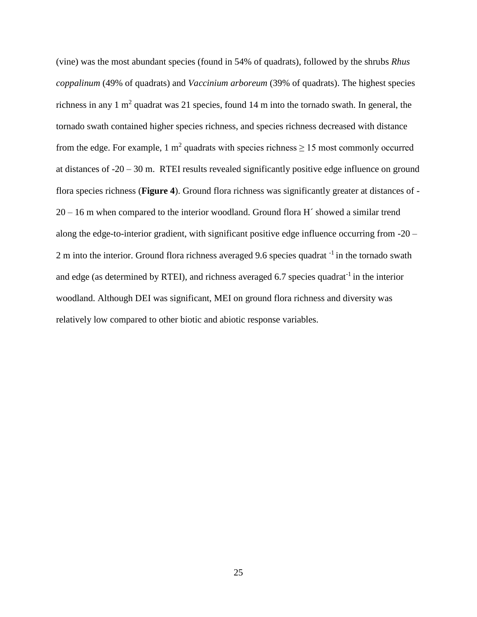(vine) was the most abundant species (found in 54% of quadrats), followed by the shrubs *Rhus coppalinum* (49% of quadrats) and *Vaccinium arboreum* (39% of quadrats). The highest species richness in any 1 m<sup>2</sup> quadrat was 21 species, found 14 m into the tornado swath. In general, the tornado swath contained higher species richness, and species richness decreased with distance from the edge. For example, 1  $m^2$  quadrats with species richness  $\geq 15$  most commonly occurred at distances of -20 – 30 m. RTEI results revealed significantly positive edge influence on ground flora species richness (**Figure 4**). Ground flora richness was significantly greater at distances of - 20 – 16 m when compared to the interior woodland. Ground flora H´ showed a similar trend along the edge-to-interior gradient, with significant positive edge influence occurring from -20 – 2 m into the interior. Ground flora richness averaged 9.6 species quadrat -1 in the tornado swath and edge (as determined by RTEI), and richness averaged 6.7 species quadrat<sup>-1</sup> in the interior woodland. Although DEI was significant, MEI on ground flora richness and diversity was relatively low compared to other biotic and abiotic response variables.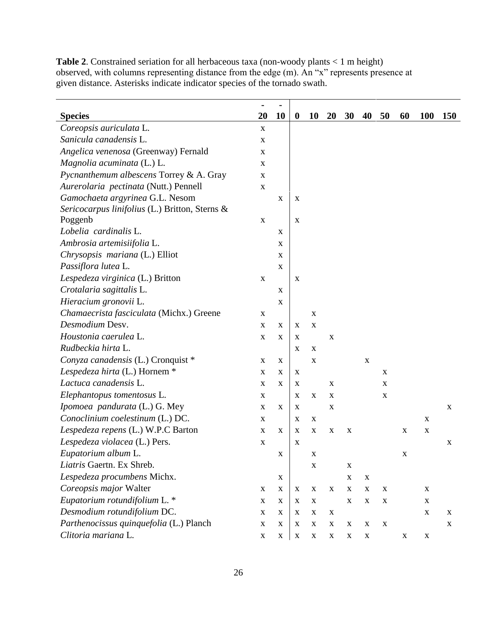|                                                | $\blacksquare$ |                           |                           |             |             |             |             |             |             |             |             |
|------------------------------------------------|----------------|---------------------------|---------------------------|-------------|-------------|-------------|-------------|-------------|-------------|-------------|-------------|
| <b>Species</b>                                 | 20             | 10                        | $\boldsymbol{0}$          | 10          | <b>20</b>   | 30          | 40          | 50          | 60          | <b>100</b>  | <b>150</b>  |
| Coreopsis auriculata L.                        | $\mathbf X$    |                           |                           |             |             |             |             |             |             |             |             |
| Sanicula canadensis L.                         | $\mathbf X$    |                           |                           |             |             |             |             |             |             |             |             |
| Angelica venenosa (Greenway) Fernald           | $\mathbf X$    |                           |                           |             |             |             |             |             |             |             |             |
| Magnolia acuminata (L.) L.                     | $\mathbf X$    |                           |                           |             |             |             |             |             |             |             |             |
| Pycnanthemum albescens Torrey & A. Gray        | $\mathbf X$    |                           |                           |             |             |             |             |             |             |             |             |
| Aurerolaria pectinata (Nutt.) Pennell          | $\mathbf X$    |                           |                           |             |             |             |             |             |             |             |             |
| Gamochaeta argyrinea G.L. Nesom                |                | $\mathbf X$               | X                         |             |             |             |             |             |             |             |             |
| Sericocarpus linifolius (L.) Britton, Sterns & |                |                           |                           |             |             |             |             |             |             |             |             |
| Poggenb                                        | $\mathbf X$    |                           | X                         |             |             |             |             |             |             |             |             |
| Lobelia cardinalis L.                          |                | X                         |                           |             |             |             |             |             |             |             |             |
| Ambrosia artemisiifolia L.                     |                | X                         |                           |             |             |             |             |             |             |             |             |
| Chrysopsis mariana (L.) Elliot                 |                | X                         |                           |             |             |             |             |             |             |             |             |
| Passiflora lutea L.                            |                | X                         |                           |             |             |             |             |             |             |             |             |
| Lespedeza virginica (L.) Britton               | $\mathbf X$    |                           | $\mathbf X$               |             |             |             |             |             |             |             |             |
| Crotalaria sagittalis L.                       |                | $\mathbf X$               |                           |             |             |             |             |             |             |             |             |
| Hieracium gronovii L.                          |                | X                         |                           |             |             |             |             |             |             |             |             |
| Chamaecrista fasciculata (Michx.) Greene       | $\mathbf X$    |                           |                           | $\mathbf X$ |             |             |             |             |             |             |             |
| Desmodium Desv.                                | $\mathbf X$    | X                         | X                         | $\mathbf X$ |             |             |             |             |             |             |             |
| Houstonia caerulea L.                          | $\mathbf X$    | X                         | $\mathbf X$               |             | $\mathbf X$ |             |             |             |             |             |             |
| Rudbeckia hirta L.                             |                |                           | X                         | $\mathbf X$ |             |             |             |             |             |             |             |
| Conyza canadensis (L.) Cronquist *             | X              | X                         |                           | $\mathbf X$ |             |             | $\mathbf X$ |             |             |             |             |
| Lespedeza hirta (L.) Hornem *                  | X              | X                         | $\mathbf X$               |             |             |             |             | $\mathbf X$ |             |             |             |
| Lactuca canadensis L.                          | $\mathbf X$    | X                         | $\boldsymbol{\mathrm{X}}$ |             | X           |             |             | $\mathbf X$ |             |             |             |
| Elephantopus tomentosus L.                     | X              |                           | X                         | $\mathbf X$ | X           |             |             | $\mathbf X$ |             |             |             |
| Ipomoea pandurata (L.) G. Mey                  | X              | X                         | $\boldsymbol{\mathrm{X}}$ |             | X           |             |             |             |             |             | $\mathbf X$ |
| Conoclinium coelestinum (L.) DC.               | X              |                           | X                         | X           |             |             |             |             |             | $\mathbf X$ |             |
| Lespedeza repens (L.) W.P.C Barton             | $\mathbf X$    | X                         | $\boldsymbol{\mathrm{X}}$ | $\mathbf X$ | $\mathbf X$ | $\mathbf X$ |             |             | $\mathbf X$ | $\mathbf X$ |             |
| Lespedeza violacea (L.) Pers.                  | X              |                           | X                         |             |             |             |             |             |             |             | X           |
| Eupatorium album L.                            |                | X                         |                           | $\mathbf X$ |             |             |             |             | X           |             |             |
| Liatris Gaertn. Ex Shreb.                      |                |                           |                           | $\mathbf X$ |             | $\mathbf X$ |             |             |             |             |             |
| Lespedeza procumbens Michx.                    |                | $\boldsymbol{\mathrm{X}}$ |                           |             |             | $\mathbf X$ | X           |             |             |             |             |
| Coreopsis major Walter                         | $\mathbf X$    | $\boldsymbol{\mathrm{X}}$ | $\boldsymbol{\mathrm{X}}$ | $\mathbf X$ | X           | $\mathbf X$ | $\mathbf X$ | $\mathbf X$ |             | $\mathbf X$ |             |
| Eupatorium rotundifolium L. *                  | $\mathbf X$    | $\mathbf X$               | $\mathbf X$               | $\mathbf X$ |             | $\mathbf X$ | X           | $\mathbf X$ |             | $\mathbf X$ |             |
| Desmodium rotundifolium DC.                    | $\mathbf X$    | X                         | $\boldsymbol{\mathrm{X}}$ | $\mathbf X$ | X           |             |             |             |             | $\mathbf X$ | X           |
| Parthenocissus quinquefolia (L.) Planch        | $\mathbf X$    | X                         | $\boldsymbol{\mathrm{X}}$ | $\mathbf X$ | X           | $\mathbf X$ | X           | $\mathbf X$ |             |             | X           |
| Clitoria mariana L.                            | X              | $\mathbf X$               | $\mathbf X$               | $\mathbf X$ | X           | X           | $\mathbf X$ |             | $\mathbf X$ | X           |             |

**Table 2**. Constrained seriation for all herbaceous taxa (non-woody plants < 1 m height) observed, with columns representing distance from the edge (m). An "x" represents presence at given distance. Asterisks indicate indicator species of the tornado swath.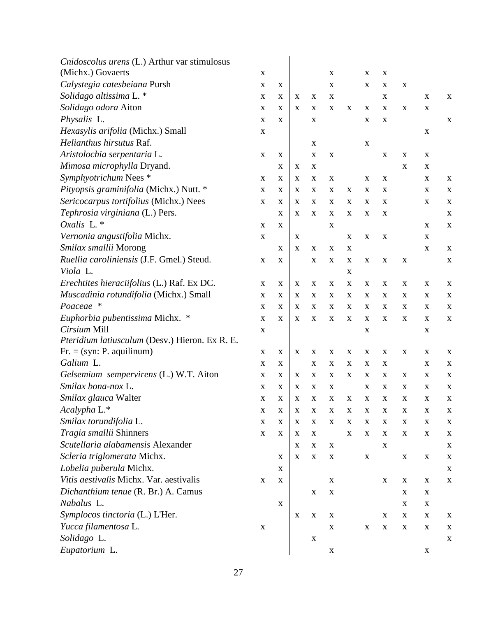| Cnidoscolus urens (L.) Arthur var stimulosus   |             |                           |                           |             |                           |             |             |             |             |             |             |
|------------------------------------------------|-------------|---------------------------|---------------------------|-------------|---------------------------|-------------|-------------|-------------|-------------|-------------|-------------|
| (Michx.) Govaerts                              | $\mathbf X$ |                           |                           |             | $\boldsymbol{\mathrm{X}}$ |             | $\mathbf X$ | $\mathbf X$ |             |             |             |
| Calystegia catesbeiana Pursh                   | $\mathbf X$ | X                         |                           |             | $\boldsymbol{\mathrm{X}}$ |             | $\mathbf X$ | X           | $\mathbf X$ |             |             |
| Solidago altissima L. *                        | X           | X                         | X                         | $\mathbf X$ | $\mathbf X$               |             |             | $\mathbf X$ |             | $\mathbf X$ | $\mathbf X$ |
| Solidago odora Aiton                           | $\mathbf X$ | X                         | X                         | X           | X                         | X           | $\mathbf X$ | X           | $\mathbf X$ | $\mathbf X$ |             |
| Physalis L.                                    | $\mathbf X$ | X                         |                           | $\mathbf X$ |                           |             | $\mathbf X$ | $\mathbf X$ |             |             | $\mathbf X$ |
| Hexasylis arifolia (Michx.) Small              | $\mathbf X$ |                           |                           |             |                           |             |             |             |             | $\mathbf X$ |             |
| Helianthus hirsutus Raf.                       |             |                           |                           | $\mathbf X$ |                           |             | $\mathbf X$ |             |             |             |             |
| Aristolochia serpentaria L.                    | $\mathbf X$ | X                         |                           | $\mathbf X$ | $\mathbf X$               |             |             | $\mathbf X$ | $\mathbf X$ | $\mathbf X$ |             |
| Mimosa microphylla Dryand.                     |             | X                         | X                         | $\mathbf X$ |                           |             |             |             | $\mathbf X$ | $\mathbf X$ |             |
| Symphyotrichum Nees *                          | $\mathbf X$ | X                         | X                         | X           | $\boldsymbol{\mathrm{X}}$ |             | X           | $\mathbf X$ |             | $\mathbf X$ | $\mathbf X$ |
| Pityopsis graminifolia (Michx.) Nutt. *        | X           | X                         | X                         | X           | $\mathbf X$               | X           | X           | X           |             | X           | $\mathbf X$ |
| Sericocarpus tortifolius (Michx.) Nees         | $\mathbf X$ | X                         | X                         | $\mathbf X$ | $\mathbf X$               | X           | $\mathbf X$ | $\mathbf X$ |             | $\mathbf X$ | $\mathbf X$ |
| Tephrosia virginiana (L.) Pers.                |             | X                         | X                         | $\mathbf X$ | X                         | X           | X           | $\mathbf X$ |             |             | $\mathbf X$ |
| Oxalis L. *                                    | X           | X                         |                           |             | X                         |             |             |             |             | $\mathbf X$ | $\mathbf X$ |
| Vernonia angustifolia Michx.                   | X           |                           | X                         |             |                           | X           | $\mathbf X$ | $\mathbf X$ |             | X           |             |
| Smilax smallii Morong                          |             | $\mathbf X$               | X                         | $\mathbf X$ | $\mathbf X$               | X           |             |             |             | $\mathbf X$ | $\mathbf X$ |
| Ruellia caroliniensis (J.F. Gmel.) Steud.      | $\mathbf X$ | X                         |                           | $\mathbf X$ | X                         | X           | $\mathbf X$ | $\mathbf X$ | $\mathbf X$ |             | $\mathbf X$ |
| Viola L.                                       |             |                           |                           |             |                           | X           |             |             |             |             |             |
| Erechtites hieraciifolius (L.) Raf. Ex DC.     | X           | X                         | X                         | $\mathbf X$ | X                         | X           | X           | X           | X           | $\mathbf X$ | $\mathbf X$ |
| Muscadinia rotundifolia (Michx.) Small         | $\mathbf X$ | X                         | X                         | X           | $\mathbf X$               | X           | $\mathbf X$ | $\mathbf X$ | $\mathbf X$ | $\mathbf X$ | $\mathbf X$ |
| Poaceae *                                      | X           | X                         | X                         | $\mathbf X$ | X                         | X           | X           | X           | X           | X           | $\mathbf X$ |
| Euphorbia pubentissima Michx. *                | $\mathbf X$ | X                         | X                         | $\mathbf X$ | X                         | X           | X           | X           | X           | X           | $\mathbf X$ |
| Cirsium Mill                                   | $\mathbf X$ |                           |                           |             |                           |             | $\mathbf X$ |             |             | X           |             |
| Pteridium latiusculum (Desv.) Hieron. Ex R. E. |             |                           |                           |             |                           |             |             |             |             |             |             |
| $Fr. = (syn: P. aquilinum)$                    | $\mathbf X$ | X                         | X                         | $\mathbf X$ | $\mathbf X$               | $\mathbf X$ | $\mathbf X$ | $\mathbf X$ | $\mathbf X$ | $\mathbf X$ | $\mathbf X$ |
| Galium L.                                      | $\mathbf X$ | X                         |                           | $\mathbf X$ | $\boldsymbol{\mathrm{X}}$ | X           | $\mathbf X$ | $\mathbf X$ |             | $\mathbf X$ | $\mathbf X$ |
| Gelsemium sempervirens (L.) W.T. Aiton         | $\mathbf X$ | X                         | X                         | $\mathbf X$ | $\mathbf X$               | X           | $\mathbf X$ | X           | $\mathbf X$ | $\mathbf X$ | $\mathbf X$ |
| Smilax bona-nox L.                             | $\mathbf X$ | X                         | X                         | $\mathbf X$ | $\mathbf X$               |             | $\mathbf X$ | $\mathbf X$ | $\mathbf X$ | $\mathbf X$ | $\mathbf X$ |
| Smilax glauca Walter                           | $\mathbf X$ | X                         | X                         | X           | X                         | $\mathbf X$ | $\mathbf X$ | X           | $\mathbf X$ | $\mathbf X$ | $\mathbf X$ |
| Acalypha L.*                                   | $\mathbf X$ | $\mathbf X$               | $\mathbf X$               | $\mathbf X$ | $\mathbf X$               | $\mathbf X$ | $\mathbf X$ | $\mathbf X$ | $\mathbf X$ | $\mathbf X$ | $\mathbf X$ |
| Smilax torundifolia L.                         | $\mathbf X$ | $\mathbf X$               | $\boldsymbol{\mathrm{X}}$ | $\mathbf X$ | $\mathbf X$               | $\mathbf X$ | $\mathbf X$ | $\mathbf X$ | $\mathbf X$ | $\mathbf X$ | $\mathbf X$ |
| Tragia smallii Shinners                        | $\mathbf X$ | X                         | X                         | $\mathbf X$ |                           | $\mathbf X$ | $\mathbf X$ | $\mathbf X$ | $\mathbf X$ | $\mathbf X$ | $\mathbf X$ |
| Scutellaria alabamensis Alexander              |             |                           | $\mathbf X$               | $\mathbf X$ | $\mathbf X$               |             |             | $\mathbf X$ |             |             | X           |
| Scleria triglomerata Michx.                    |             | X                         | $\boldsymbol{\mathrm{X}}$ | $\mathbf X$ | $\mathbf X$               |             | $\mathbf X$ |             | $\mathbf X$ | $\mathbf X$ | X           |
| Lobelia puberula Michx.                        |             | X                         |                           |             |                           |             |             |             |             |             | $\mathbf X$ |
| Vitis aestivalis Michx. Var. aestivalis        | $\mathbf X$ | X                         |                           |             | $\mathbf X$               |             |             | $\mathbf X$ | $\mathbf X$ | $\mathbf X$ | X           |
| Dichanthium tenue (R. Br.) A. Camus            |             |                           |                           | $\mathbf X$ | $\mathbf X$               |             |             |             | X           | X           |             |
| Nabalus L.                                     |             | $\boldsymbol{\mathrm{X}}$ |                           |             |                           |             |             |             | $\mathbf X$ | $\mathbf X$ |             |
| Symplocos tinctoria (L.) L'Her.                |             |                           | $\boldsymbol{\mathrm{X}}$ | $\mathbf X$ | $\mathbf X$               |             |             | $\mathbf X$ | $\mathbf X$ | $\mathbf X$ | $\mathbf X$ |
| Yucca filamentosa L.                           | $\mathbf X$ |                           |                           |             | $\mathbf X$               |             | $\mathbf X$ | $\mathbf X$ | $\mathbf X$ | $\mathbf X$ | X           |
| Solidago L.                                    |             |                           |                           | $\mathbf X$ |                           |             |             |             |             |             | X           |
| Eupatorium L.                                  |             |                           |                           |             | $\mathbf X$               |             |             |             |             | $\mathbf X$ |             |
|                                                |             |                           |                           |             |                           |             |             |             |             |             |             |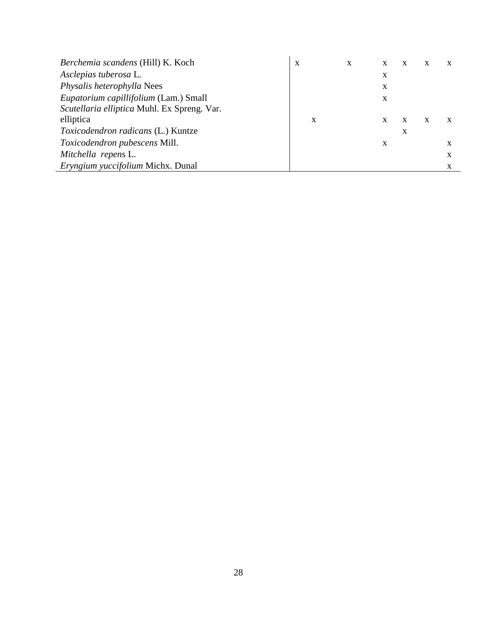| Berchemia scandens (Hill) K. Koch           | X | X | X | X | X | $\mathbf X$ |
|---------------------------------------------|---|---|---|---|---|-------------|
| Asclepias tuberosa L.                       |   |   | X |   |   |             |
| Physalis heterophylla Nees                  |   |   | X |   |   |             |
| Eupatorium capillifolium (Lam.) Small       |   |   | X |   |   |             |
| Scutellaria elliptica Muhl. Ex Spreng. Var. |   |   |   |   |   |             |
| elliptica                                   | X |   | X | X | X |             |
| <i>Toxicodendron radicans (L.)</i> Kuntze   |   |   |   | X |   |             |
| Toxicodendron pubescens Mill.               |   |   | X |   |   | x           |
| Mitchella repens L.                         |   |   |   |   |   | X           |
| Eryngium yuccifolium Michx. Dunal           |   |   |   |   |   | X           |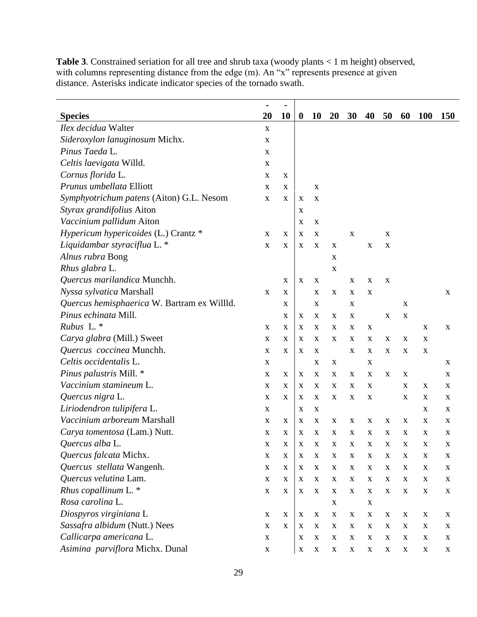|                                             | ۰           | $\blacksquare$ |                  |             |                           |             |             |             |                           |             |             |
|---------------------------------------------|-------------|----------------|------------------|-------------|---------------------------|-------------|-------------|-------------|---------------------------|-------------|-------------|
| <b>Species</b>                              | 20          | 10             | $\boldsymbol{0}$ | <b>10</b>   | <b>20</b>                 | <b>30</b>   | 40          | 50          | 60                        | <b>100</b>  | <b>150</b>  |
| Ilex decidua Walter                         | X           |                |                  |             |                           |             |             |             |                           |             |             |
| Sideroxylon lanuginosum Michx.              | X           |                |                  |             |                           |             |             |             |                           |             |             |
| Pinus Taeda L.                              | $\mathbf X$ |                |                  |             |                           |             |             |             |                           |             |             |
| Celtis laevigata Willd.                     | X           |                |                  |             |                           |             |             |             |                           |             |             |
| Cornus florida L.                           | X           | X              |                  |             |                           |             |             |             |                           |             |             |
| Prunus umbellata Elliott                    | X           | X              |                  | X           |                           |             |             |             |                           |             |             |
| Symphyotrichum patens (Aiton) G.L. Nesom    | X           | X              | X                | $\mathbf X$ |                           |             |             |             |                           |             |             |
| Styrax grandifolius Aiton                   |             |                | X                |             |                           |             |             |             |                           |             |             |
| Vaccinium pallidum Aiton                    |             |                | X                | $\mathbf X$ |                           |             |             |             |                           |             |             |
| Hypericum hypericoides (L.) Crantz *        | X           | X              | X                | X           |                           | X           |             | X           |                           |             |             |
| Liquidambar styraciflua L. *                | $\mathbf X$ | X              | X                | X           | $\mathbf X$               |             | $\mathbf X$ | X           |                           |             |             |
| Alnus rubra Bong                            |             |                |                  |             | X                         |             |             |             |                           |             |             |
| Rhus glabra L.                              |             |                |                  |             | X                         |             |             |             |                           |             |             |
| Quercus marilandica Munchh.                 |             | X              | X                | X           |                           | X           | X           | $\mathbf X$ |                           |             |             |
| Nyssa sylvatica Marshall                    | X           | $\mathbf X$    |                  | X           | $\mathbf X$               | X           | $\mathbf X$ |             |                           |             | X           |
| Quercus hemisphaerica W. Bartram ex Willld. |             | X              |                  | X           |                           | X           |             |             | X                         |             |             |
| Pinus echinata Mill.                        |             | X              | $\mathbf X$      | X           | $\mathbf X$               | $\mathbf X$ |             | X           | $\mathbf X$               |             |             |
| Rubus L.*                                   | X           | X              | X                | X           | X                         | X           | X           |             |                           | X           | X           |
| Carya glabra (Mill.) Sweet                  | $\mathbf X$ | X              | X                | $\mathbf X$ | X                         | X           | X           | X           | X                         | X           |             |
| Quercus coccinea Munchh.                    | $\mathbf X$ | X              | X                | X           |                           | $\mathbf X$ | X           | X           | X                         | $\mathbf X$ |             |
| Celtis occidentalis L.                      | $\mathbf X$ |                |                  | X           | $\mathbf X$               |             | $\mathbf X$ |             |                           |             | $\mathbf X$ |
| Pinus palustris Mill. *                     | X           | X              | X                | $\mathbf X$ | X                         | X           | $\mathbf X$ | $\mathbf X$ | $\boldsymbol{\mathrm{X}}$ |             | $\mathbf X$ |
| Vaccinium stamineum L.                      | X           | X              | X                | X           | X                         | X           | $\mathbf X$ |             | X                         | X           | $\mathbf X$ |
| Quercus nigra L.                            | $\mathbf X$ | X              | X                | X           | X                         | X           | $\mathbf X$ |             | X                         | X           | X           |
| Liriodendron tulipifera L.                  | $\mathbf X$ |                | X                | $\mathbf X$ |                           |             |             |             |                           | $\mathbf X$ | $\mathbf X$ |
| Vaccinium arboreum Marshall                 | X           | $\mathbf X$    | X                | $\mathbf X$ | $\boldsymbol{\mathrm{X}}$ | X           | X           | X           | X                         | X           | X           |
| Carya tomentosa (Lam.) Nutt.                | X           | X              | X                | X           | X                         | X           | X           | X           | X                         | X           | X           |
| Quercus alba L.                             | $\mathbf X$ | $\mathbf X$    | X                | X           | X                         | X           | $\mathbf X$ | X           | X                         | $\mathbf X$ | $\mathbf X$ |
| Quercus falcata Michx.                      | $\mathbf X$ | $\mathbf X$    | $\mathbf X$      | $\mathbf X$ | $\mathbf X$               | $\mathbf X$ | $\mathbf X$ | $\mathbf X$ | $\mathbf X$               | $\mathbf X$ | $\mathbf X$ |
| Quercus stellata Wangenh.                   | $\mathbf X$ | $\mathbf X$    | $\mathbf X$      | $\mathbf X$ | $\mathbf X$               | X           | $\mathbf X$ | $\mathbf X$ | X                         | $\mathbf X$ | $\mathbf X$ |
| Quercus velutina Lam.                       | $\mathbf X$ | X              | X                | $\mathbf X$ | $\mathbf X$               | X           | $\mathbf X$ | $\mathbf X$ | X                         | $\mathbf X$ | $\mathbf X$ |
| Rhus copallinum L.*                         | $\mathbf X$ | $\mathbf X$    | X                | $\mathbf X$ | X                         | X           | $\mathbf X$ | $\mathbf X$ | X                         | $\mathbf X$ | $\mathbf X$ |
| Rosa carolina L.                            |             |                |                  |             | $\mathbf X$               |             | $\mathbf X$ |             |                           |             |             |
| Diospyros virginiana L                      | $\mathbf X$ | $\mathbf X$    | X                | $\mathbf X$ | $\mathbf X$               | X           | $\mathbf X$ | $\mathbf X$ | X                         | $\mathbf X$ | $\mathbf X$ |
| Sassafra albidum (Nutt.) Nees               | $\mathbf X$ | $\mathbf X$    | $\mathbf X$      | $\mathbf X$ | $\mathbf X$               | X           | $\mathbf X$ | $\mathbf X$ | $\mathbf X$               | $\mathbf X$ | X           |
| Callicarpa americana L.                     | $\mathbf X$ |                | X                | $\mathbf X$ | $\mathbf X$               | X           | $\mathbf X$ | $\mathbf X$ | X                         | $\mathbf X$ | X           |
| Asimina parviflora Michx. Dunal             | $\mathbf X$ |                | X                | $\mathbf X$ | $\mathbf X$               | $\mathbf X$ | $\mathbf X$ | $\mathbf X$ | X                         | $\mathbf X$ | X           |

**Table 3**. Constrained seriation for all tree and shrub taxa (woody plants < 1 m height) observed, with columns representing distance from the edge (m). An "x" represents presence at given distance. Asterisks indicate indicator species of the tornado swath.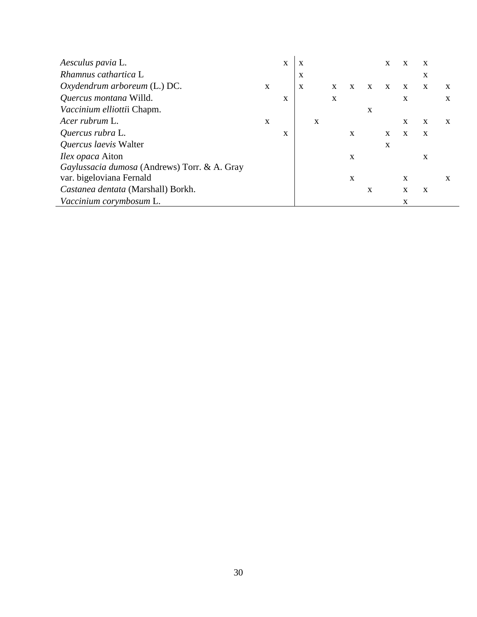| Aesculus pavia L.                            |   | X | X |   |   |              |   | X            | $\mathbf{x}$ | X |   |
|----------------------------------------------|---|---|---|---|---|--------------|---|--------------|--------------|---|---|
| Rhamnus cathartica L                         |   |   | X |   |   |              |   |              |              | X |   |
| Oxydendrum arboreum (L.) DC.                 | X |   | X |   | X | X            | X |              | X            | X | X |
| Quercus montana Willd.                       |   | X |   |   | X |              |   |              | X            |   | X |
| Vaccinium elliottii Chapm.                   |   |   |   |   |   |              | X |              |              |   |   |
| Acer rubrum L.                               | X |   |   | X |   |              |   |              | X            | X | X |
| Quercus rubra L.                             |   | X |   |   |   | $\mathbf{X}$ |   | $\mathbf{x}$ | X            | X |   |
| Quercus laevis Walter                        |   |   |   |   |   |              |   | X            |              |   |   |
| <i>Ilex opaca</i> Aiton                      |   |   |   |   |   | X            |   |              |              | X |   |
| Gaylussacia dumosa (Andrews) Torr. & A. Gray |   |   |   |   |   |              |   |              |              |   |   |
| var. bigeloviana Fernald                     |   |   |   |   |   | X            |   |              | X            |   | X |
| Castanea dentata (Marshall) Borkh.           |   |   |   |   |   |              | X |              | X            | X |   |
| Vaccinium corymbosum L.                      |   |   |   |   |   |              |   |              | X            |   |   |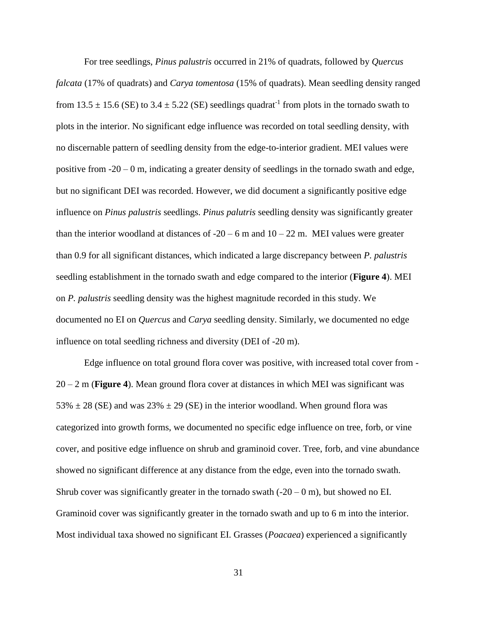For tree seedlings, *Pinus palustris* occurred in 21% of quadrats, followed by *Quercus falcata* (17% of quadrats) and *Carya tomentosa* (15% of quadrats). Mean seedling density ranged from 13.5  $\pm$  15.6 (SE) to 3.4  $\pm$  5.22 (SE) seedlings quadrat<sup>-1</sup> from plots in the tornado swath to plots in the interior. No significant edge influence was recorded on total seedling density, with no discernable pattern of seedling density from the edge-to-interior gradient. MEI values were positive from -20 – 0 m, indicating a greater density of seedlings in the tornado swath and edge, but no significant DEI was recorded. However, we did document a significantly positive edge influence on *Pinus palustris* seedlings. *Pinus palutris* seedling density was significantly greater than the interior woodland at distances of  $-20 - 6$  m and  $10 - 22$  m. MEI values were greater than 0.9 for all significant distances, which indicated a large discrepancy between *P. palustris* seedling establishment in the tornado swath and edge compared to the interior (**Figure 4**). MEI on *P. palustris* seedling density was the highest magnitude recorded in this study. We documented no EI on *Quercus* and *Carya* seedling density. Similarly, we documented no edge influence on total seedling richness and diversity (DEI of -20 m).

Edge influence on total ground flora cover was positive, with increased total cover from - 20 – 2 m (**Figure 4**). Mean ground flora cover at distances in which MEI was significant was 53%  $\pm$  28 (SE) and was 23%  $\pm$  29 (SE) in the interior woodland. When ground flora was categorized into growth forms, we documented no specific edge influence on tree, forb, or vine cover, and positive edge influence on shrub and graminoid cover. Tree, forb, and vine abundance showed no significant difference at any distance from the edge, even into the tornado swath. Shrub cover was significantly greater in the tornado swath  $(-20 - 0$  m), but showed no EI. Graminoid cover was significantly greater in the tornado swath and up to 6 m into the interior. Most individual taxa showed no significant EI. Grasses (*Poacaea*) experienced a significantly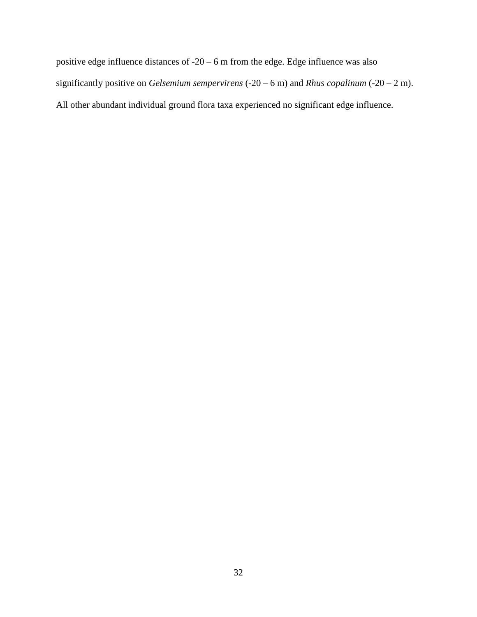positive edge influence distances of -20 – 6 m from the edge. Edge influence was also significantly positive on *Gelsemium sempervirens* (-20 – 6 m) and *Rhus copalinum* (-20 – 2 m). All other abundant individual ground flora taxa experienced no significant edge influence.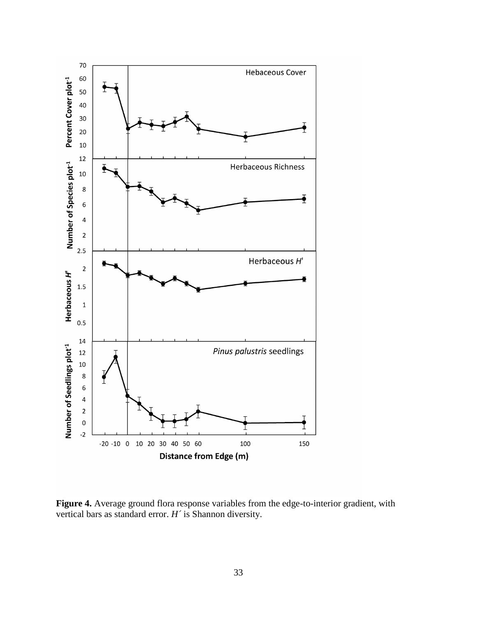

**Figure 4.** Average ground flora response variables from the edge-to-interior gradient, with vertical bars as standard error. *H´* is Shannon diversity.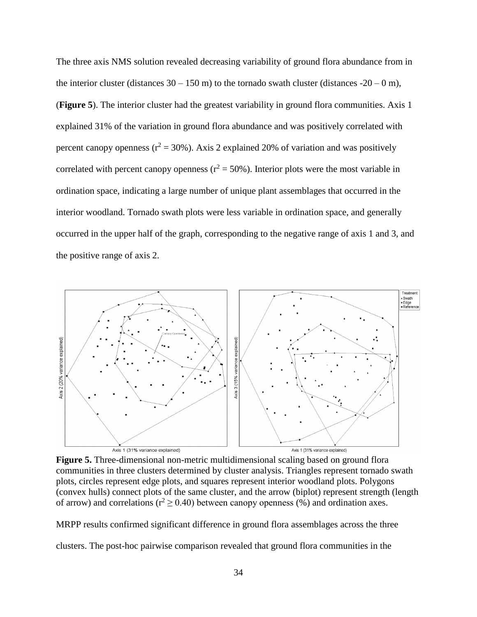The three axis NMS solution revealed decreasing variability of ground flora abundance from in the interior cluster (distances  $30 - 150$  m) to the tornado swath cluster (distances  $-20 - 0$  m), (**Figure 5**). The interior cluster had the greatest variability in ground flora communities. Axis 1 explained 31% of the variation in ground flora abundance and was positively correlated with percent canopy openness ( $r^2 = 30\%$ ). Axis 2 explained 20% of variation and was positively correlated with percent canopy openness ( $r^2 = 50\%$ ). Interior plots were the most variable in ordination space, indicating a large number of unique plant assemblages that occurred in the interior woodland. Tornado swath plots were less variable in ordination space, and generally occurred in the upper half of the graph, corresponding to the negative range of axis 1 and 3, and the positive range of axis 2.



**Figure 5.** Three-dimensional non-metric multidimensional scaling based on ground flora communities in three clusters determined by cluster analysis. Triangles represent tornado swath plots, circles represent edge plots, and squares represent interior woodland plots. Polygons (convex hulls) connect plots of the same cluster, and the arrow (biplot) represent strength (length of arrow) and correlations ( $r^2 \ge 0.40$ ) between canopy openness (%) and ordination axes.

MRPP results confirmed significant difference in ground flora assemblages across the three

clusters. The post-hoc pairwise comparison revealed that ground flora communities in the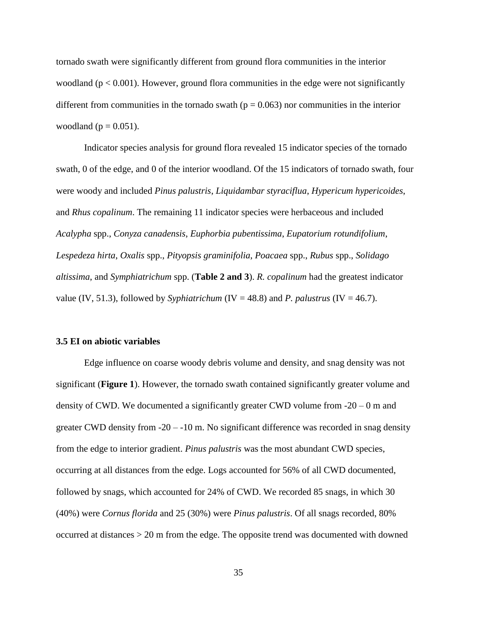tornado swath were significantly different from ground flora communities in the interior woodland ( $p < 0.001$ ). However, ground flora communities in the edge were not significantly different from communities in the tornado swath ( $p = 0.063$ ) nor communities in the interior woodland ( $p = 0.051$ ).

Indicator species analysis for ground flora revealed 15 indicator species of the tornado swath, 0 of the edge, and 0 of the interior woodland. Of the 15 indicators of tornado swath, four were woody and included *Pinus palustris*, *Liquidambar styraciflua*, *Hypericum hypericoides*, and *Rhus copalinum*. The remaining 11 indicator species were herbaceous and included *Acalypha* spp., *Conyza canadensis*, *Euphorbia pubentissima*, *Eupatorium rotundifolium*, *Lespedeza hirta*, *Oxalis* spp., *Pityopsis graminifolia*, *Poacaea* spp., *Rubus* spp., *Solidago altissima*, and *Symphiatrichum* spp. (**Table 2 and 3**). *R. copalinum* had the greatest indicator value (IV, 51.3), followed by *Syphiatrichum* (IV = 48.8) and *P. palustrus* (IV = 46.7).

### **3.5 EI on abiotic variables**

Edge influence on coarse woody debris volume and density, and snag density was not significant (**Figure 1**). However, the tornado swath contained significantly greater volume and density of CWD. We documented a significantly greater CWD volume from  $-20 - 0$  m and greater CWD density from -20 – -10 m. No significant difference was recorded in snag density from the edge to interior gradient. *Pinus palustris* was the most abundant CWD species, occurring at all distances from the edge. Logs accounted for 56% of all CWD documented, followed by snags, which accounted for 24% of CWD. We recorded 85 snags, in which 30 (40%) were *Cornus florida* and 25 (30%) were *Pinus palustris*. Of all snags recorded, 80% occurred at distances > 20 m from the edge. The opposite trend was documented with downed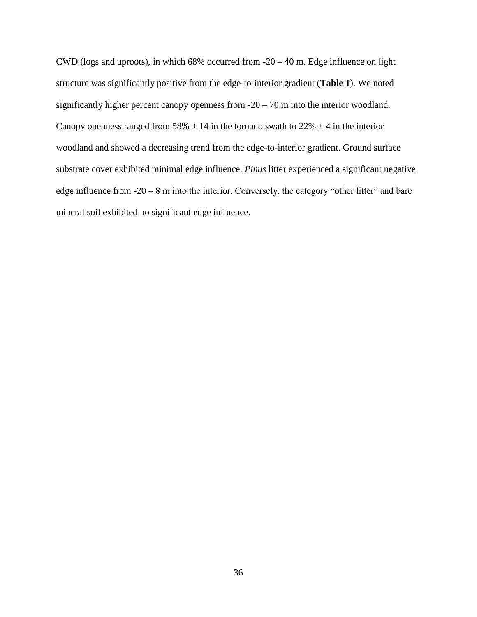CWD (logs and uproots), in which  $68\%$  occurred from  $-20 - 40$  m. Edge influence on light structure was significantly positive from the edge-to-interior gradient (**Table 1**). We noted significantly higher percent canopy openness from  $-20 - 70$  m into the interior woodland. Canopy openness ranged from 58%  $\pm$  14 in the tornado swath to 22%  $\pm$  4 in the interior woodland and showed a decreasing trend from the edge-to-interior gradient. Ground surface substrate cover exhibited minimal edge influence. *Pinus* litter experienced a significant negative edge influence from  $-20 - 8$  m into the interior. Conversely, the category "other litter" and bare mineral soil exhibited no significant edge influence.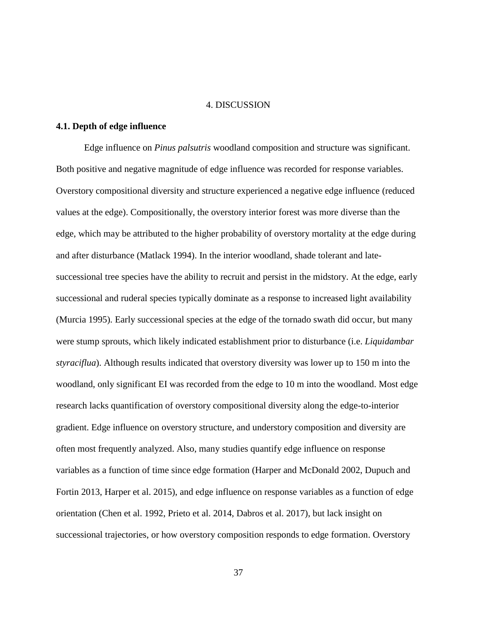#### 4. DISCUSSION

## **4.1. Depth of edge influence**

Edge influence on *Pinus palsutris* woodland composition and structure was significant. Both positive and negative magnitude of edge influence was recorded for response variables. Overstory compositional diversity and structure experienced a negative edge influence (reduced values at the edge). Compositionally, the overstory interior forest was more diverse than the edge, which may be attributed to the higher probability of overstory mortality at the edge during and after disturbance (Matlack 1994). In the interior woodland, shade tolerant and latesuccessional tree species have the ability to recruit and persist in the midstory. At the edge, early successional and ruderal species typically dominate as a response to increased light availability (Murcia 1995). Early successional species at the edge of the tornado swath did occur, but many were stump sprouts, which likely indicated establishment prior to disturbance (i.e. *Liquidambar styraciflua*). Although results indicated that overstory diversity was lower up to 150 m into the woodland, only significant EI was recorded from the edge to 10 m into the woodland. Most edge research lacks quantification of overstory compositional diversity along the edge-to-interior gradient. Edge influence on overstory structure, and understory composition and diversity are often most frequently analyzed. Also, many studies quantify edge influence on response variables as a function of time since edge formation (Harper and McDonald 2002, Dupuch and Fortin 2013, Harper et al. 2015), and edge influence on response variables as a function of edge orientation (Chen et al. 1992, Prieto et al. 2014, Dabros et al. 2017), but lack insight on successional trajectories, or how overstory composition responds to edge formation. Overstory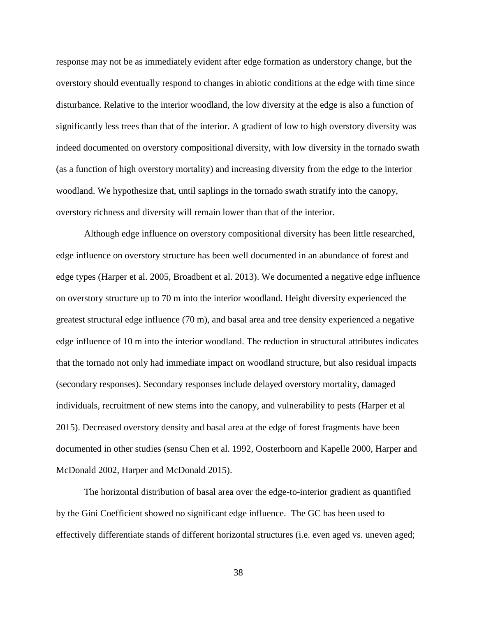response may not be as immediately evident after edge formation as understory change, but the overstory should eventually respond to changes in abiotic conditions at the edge with time since disturbance. Relative to the interior woodland, the low diversity at the edge is also a function of significantly less trees than that of the interior. A gradient of low to high overstory diversity was indeed documented on overstory compositional diversity, with low diversity in the tornado swath (as a function of high overstory mortality) and increasing diversity from the edge to the interior woodland. We hypothesize that, until saplings in the tornado swath stratify into the canopy, overstory richness and diversity will remain lower than that of the interior.

Although edge influence on overstory compositional diversity has been little researched, edge influence on overstory structure has been well documented in an abundance of forest and edge types (Harper et al. 2005, Broadbent et al. 2013). We documented a negative edge influence on overstory structure up to 70 m into the interior woodland. Height diversity experienced the greatest structural edge influence (70 m), and basal area and tree density experienced a negative edge influence of 10 m into the interior woodland. The reduction in structural attributes indicates that the tornado not only had immediate impact on woodland structure, but also residual impacts (secondary responses). Secondary responses include delayed overstory mortality, damaged individuals, recruitment of new stems into the canopy, and vulnerability to pests (Harper et al 2015). Decreased overstory density and basal area at the edge of forest fragments have been documented in other studies (sensu Chen et al. 1992, Oosterhoorn and Kapelle 2000, Harper and McDonald 2002, Harper and McDonald 2015).

The horizontal distribution of basal area over the edge-to-interior gradient as quantified by the Gini Coefficient showed no significant edge influence. The GC has been used to effectively differentiate stands of different horizontal structures (i.e. even aged vs. uneven aged;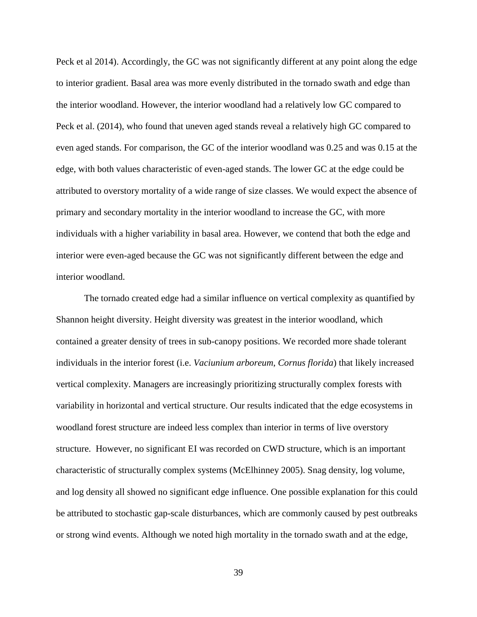Peck et al 2014). Accordingly, the GC was not significantly different at any point along the edge to interior gradient. Basal area was more evenly distributed in the tornado swath and edge than the interior woodland. However, the interior woodland had a relatively low GC compared to Peck et al. (2014), who found that uneven aged stands reveal a relatively high GC compared to even aged stands. For comparison, the GC of the interior woodland was 0.25 and was 0.15 at the edge, with both values characteristic of even-aged stands. The lower GC at the edge could be attributed to overstory mortality of a wide range of size classes. We would expect the absence of primary and secondary mortality in the interior woodland to increase the GC, with more individuals with a higher variability in basal area. However, we contend that both the edge and interior were even-aged because the GC was not significantly different between the edge and interior woodland.

The tornado created edge had a similar influence on vertical complexity as quantified by Shannon height diversity. Height diversity was greatest in the interior woodland, which contained a greater density of trees in sub-canopy positions. We recorded more shade tolerant individuals in the interior forest (i.e. *Vaciunium arboreum*, *Cornus florida*) that likely increased vertical complexity. Managers are increasingly prioritizing structurally complex forests with variability in horizontal and vertical structure. Our results indicated that the edge ecosystems in woodland forest structure are indeed less complex than interior in terms of live overstory structure. However, no significant EI was recorded on CWD structure, which is an important characteristic of structurally complex systems (McElhinney 2005). Snag density, log volume, and log density all showed no significant edge influence. One possible explanation for this could be attributed to stochastic gap-scale disturbances, which are commonly caused by pest outbreaks or strong wind events. Although we noted high mortality in the tornado swath and at the edge,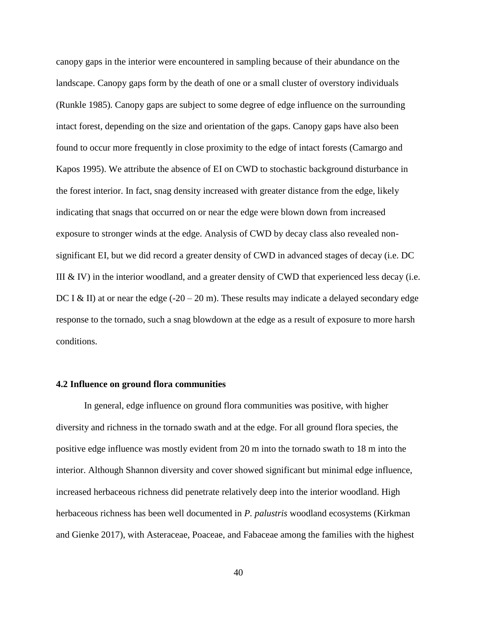canopy gaps in the interior were encountered in sampling because of their abundance on the landscape. Canopy gaps form by the death of one or a small cluster of overstory individuals (Runkle 1985). Canopy gaps are subject to some degree of edge influence on the surrounding intact forest, depending on the size and orientation of the gaps. Canopy gaps have also been found to occur more frequently in close proximity to the edge of intact forests (Camargo and Kapos 1995). We attribute the absence of EI on CWD to stochastic background disturbance in the forest interior. In fact, snag density increased with greater distance from the edge, likely indicating that snags that occurred on or near the edge were blown down from increased exposure to stronger winds at the edge. Analysis of CWD by decay class also revealed nonsignificant EI, but we did record a greater density of CWD in advanced stages of decay (i.e. DC III  $&$  IV) in the interior woodland, and a greater density of CWD that experienced less decay (i.e. DC I & II) at or near the edge  $(-20 - 20 \text{ m})$ . These results may indicate a delayed secondary edge response to the tornado, such a snag blowdown at the edge as a result of exposure to more harsh conditions.

#### **4.2 Influence on ground flora communities**

In general, edge influence on ground flora communities was positive, with higher diversity and richness in the tornado swath and at the edge. For all ground flora species, the positive edge influence was mostly evident from 20 m into the tornado swath to 18 m into the interior. Although Shannon diversity and cover showed significant but minimal edge influence, increased herbaceous richness did penetrate relatively deep into the interior woodland. High herbaceous richness has been well documented in *P. palustris* woodland ecosystems (Kirkman and Gienke 2017), with Asteraceae, Poaceae, and Fabaceae among the families with the highest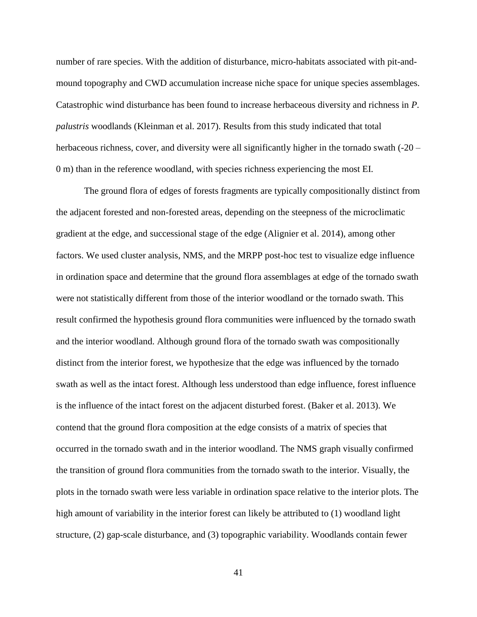number of rare species. With the addition of disturbance, micro-habitats associated with pit-andmound topography and CWD accumulation increase niche space for unique species assemblages. Catastrophic wind disturbance has been found to increase herbaceous diversity and richness in *P. palustris* woodlands (Kleinman et al. 2017). Results from this study indicated that total herbaceous richness, cover, and diversity were all significantly higher in the tornado swath (-20 – 0 m) than in the reference woodland, with species richness experiencing the most EI.

The ground flora of edges of forests fragments are typically compositionally distinct from the adjacent forested and non-forested areas, depending on the steepness of the microclimatic gradient at the edge, and successional stage of the edge (Alignier et al. 2014), among other factors. We used cluster analysis, NMS, and the MRPP post-hoc test to visualize edge influence in ordination space and determine that the ground flora assemblages at edge of the tornado swath were not statistically different from those of the interior woodland or the tornado swath. This result confirmed the hypothesis ground flora communities were influenced by the tornado swath and the interior woodland. Although ground flora of the tornado swath was compositionally distinct from the interior forest, we hypothesize that the edge was influenced by the tornado swath as well as the intact forest. Although less understood than edge influence, forest influence is the influence of the intact forest on the adjacent disturbed forest. (Baker et al. 2013). We contend that the ground flora composition at the edge consists of a matrix of species that occurred in the tornado swath and in the interior woodland. The NMS graph visually confirmed the transition of ground flora communities from the tornado swath to the interior. Visually, the plots in the tornado swath were less variable in ordination space relative to the interior plots. The high amount of variability in the interior forest can likely be attributed to (1) woodland light structure, (2) gap-scale disturbance, and (3) topographic variability. Woodlands contain fewer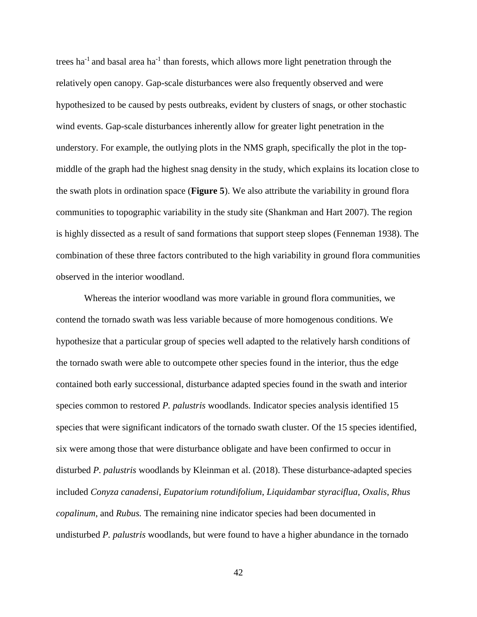trees ha<sup>-1</sup> and basal area ha<sup>-1</sup> than forests, which allows more light penetration through the relatively open canopy. Gap-scale disturbances were also frequently observed and were hypothesized to be caused by pests outbreaks, evident by clusters of snags, or other stochastic wind events. Gap-scale disturbances inherently allow for greater light penetration in the understory. For example, the outlying plots in the NMS graph, specifically the plot in the topmiddle of the graph had the highest snag density in the study, which explains its location close to the swath plots in ordination space (**Figure 5**). We also attribute the variability in ground flora communities to topographic variability in the study site (Shankman and Hart 2007). The region is highly dissected as a result of sand formations that support steep slopes (Fenneman 1938). The combination of these three factors contributed to the high variability in ground flora communities observed in the interior woodland.

Whereas the interior woodland was more variable in ground flora communities, we contend the tornado swath was less variable because of more homogenous conditions. We hypothesize that a particular group of species well adapted to the relatively harsh conditions of the tornado swath were able to outcompete other species found in the interior, thus the edge contained both early successional, disturbance adapted species found in the swath and interior species common to restored *P. palustris* woodlands. Indicator species analysis identified 15 species that were significant indicators of the tornado swath cluster. Of the 15 species identified, six were among those that were disturbance obligate and have been confirmed to occur in disturbed *P. palustris* woodlands by Kleinman et al. (2018). These disturbance-adapted species included *Conyza canadensi*, *Eupatorium rotundifolium*, *Liquidambar styraciflua*, *Oxalis*, *Rhus copalinum*, and *Rubus.* The remaining nine indicator species had been documented in undisturbed *P. palustris* woodlands, but were found to have a higher abundance in the tornado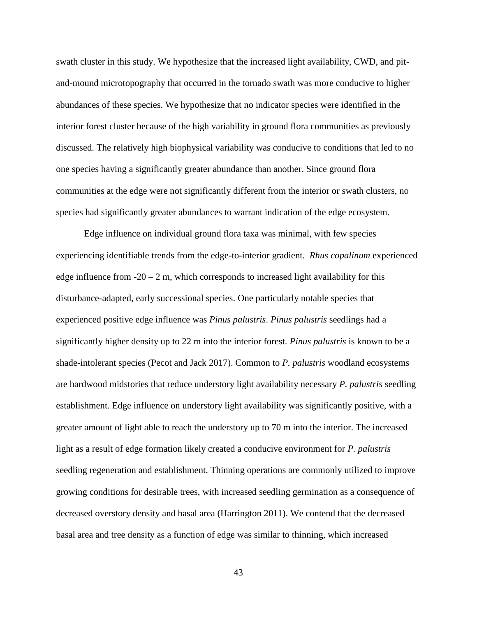swath cluster in this study. We hypothesize that the increased light availability, CWD, and pitand-mound microtopography that occurred in the tornado swath was more conducive to higher abundances of these species. We hypothesize that no indicator species were identified in the interior forest cluster because of the high variability in ground flora communities as previously discussed. The relatively high biophysical variability was conducive to conditions that led to no one species having a significantly greater abundance than another. Since ground flora communities at the edge were not significantly different from the interior or swath clusters, no species had significantly greater abundances to warrant indication of the edge ecosystem.

Edge influence on individual ground flora taxa was minimal, with few species experiencing identifiable trends from the edge-to-interior gradient. *Rhus copalinum* experienced edge influence from  $-20 - 2$  m, which corresponds to increased light availability for this disturbance-adapted, early successional species. One particularly notable species that experienced positive edge influence was *Pinus palustris*. *Pinus palustris* seedlings had a significantly higher density up to 22 m into the interior forest. *Pinus palustris* is known to be a shade-intolerant species (Pecot and Jack 2017). Common to *P. palustris* woodland ecosystems are hardwood midstories that reduce understory light availability necessary *P. palustris* seedling establishment. Edge influence on understory light availability was significantly positive, with a greater amount of light able to reach the understory up to 70 m into the interior. The increased light as a result of edge formation likely created a conducive environment for *P. palustris* seedling regeneration and establishment. Thinning operations are commonly utilized to improve growing conditions for desirable trees, with increased seedling germination as a consequence of decreased overstory density and basal area (Harrington 2011). We contend that the decreased basal area and tree density as a function of edge was similar to thinning, which increased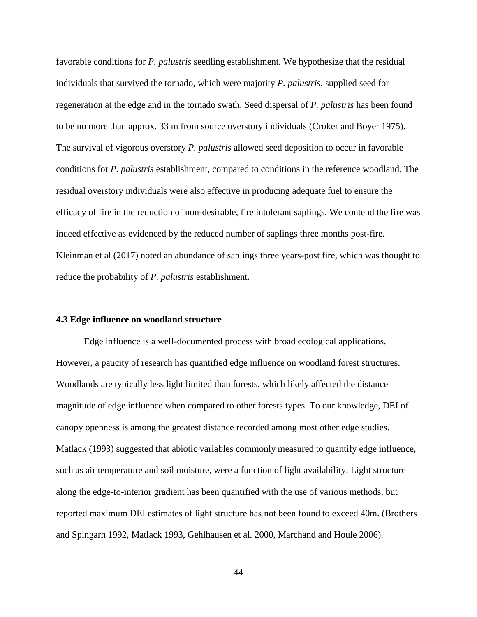favorable conditions for *P. palustris* seedling establishment. We hypothesize that the residual individuals that survived the tornado, which were majority *P. palustris*, supplied seed for regeneration at the edge and in the tornado swath. Seed dispersal of *P. palustris* has been found to be no more than approx. 33 m from source overstory individuals (Croker and Boyer 1975). The survival of vigorous overstory *P. palustris* allowed seed deposition to occur in favorable conditions for *P. palustris* establishment, compared to conditions in the reference woodland. The residual overstory individuals were also effective in producing adequate fuel to ensure the efficacy of fire in the reduction of non-desirable, fire intolerant saplings. We contend the fire was indeed effective as evidenced by the reduced number of saplings three months post-fire. Kleinman et al (2017) noted an abundance of saplings three years-post fire, which was thought to reduce the probability of *P. palustris* establishment.

### **4.3 Edge influence on woodland structure**

Edge influence is a well-documented process with broad ecological applications. However, a paucity of research has quantified edge influence on woodland forest structures. Woodlands are typically less light limited than forests, which likely affected the distance magnitude of edge influence when compared to other forests types. To our knowledge, DEI of canopy openness is among the greatest distance recorded among most other edge studies. Matlack (1993) suggested that abiotic variables commonly measured to quantify edge influence, such as air temperature and soil moisture, were a function of light availability. Light structure along the edge-to-interior gradient has been quantified with the use of various methods, but reported maximum DEI estimates of light structure has not been found to exceed 40m. (Brothers and Spingarn 1992, Matlack 1993, Gehlhausen et al. 2000, Marchand and Houle 2006).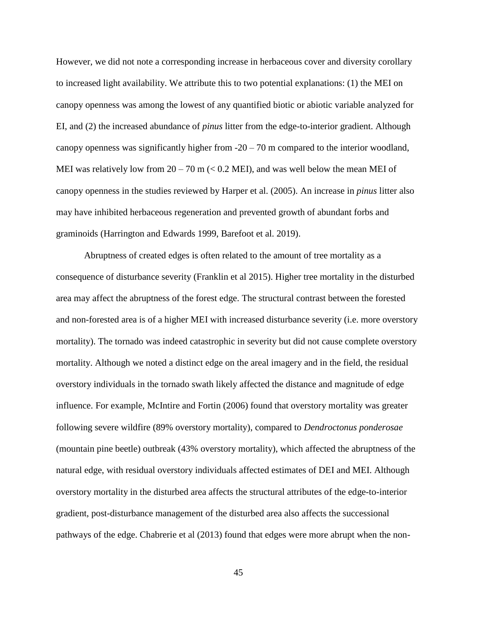However, we did not note a corresponding increase in herbaceous cover and diversity corollary to increased light availability. We attribute this to two potential explanations: (1) the MEI on canopy openness was among the lowest of any quantified biotic or abiotic variable analyzed for EI, and (2) the increased abundance of *pinus* litter from the edge-to-interior gradient. Although canopy openness was significantly higher from  $-20 - 70$  m compared to the interior woodland, MEI was relatively low from  $20 - 70$  m ( $< 0.2$  MEI), and was well below the mean MEI of canopy openness in the studies reviewed by Harper et al. (2005). An increase in *pinus* litter also may have inhibited herbaceous regeneration and prevented growth of abundant forbs and graminoids (Harrington and Edwards 1999, Barefoot et al. 2019).

Abruptness of created edges is often related to the amount of tree mortality as a consequence of disturbance severity (Franklin et al 2015). Higher tree mortality in the disturbed area may affect the abruptness of the forest edge. The structural contrast between the forested and non-forested area is of a higher MEI with increased disturbance severity (i.e. more overstory mortality). The tornado was indeed catastrophic in severity but did not cause complete overstory mortality. Although we noted a distinct edge on the areal imagery and in the field, the residual overstory individuals in the tornado swath likely affected the distance and magnitude of edge influence. For example, McIntire and Fortin (2006) found that overstory mortality was greater following severe wildfire (89% overstory mortality), compared to *Dendroctonus ponderosae* (mountain pine beetle) outbreak (43% overstory mortality), which affected the abruptness of the natural edge, with residual overstory individuals affected estimates of DEI and MEI. Although overstory mortality in the disturbed area affects the structural attributes of the edge-to-interior gradient, post-disturbance management of the disturbed area also affects the successional pathways of the edge. Chabrerie et al (2013) found that edges were more abrupt when the non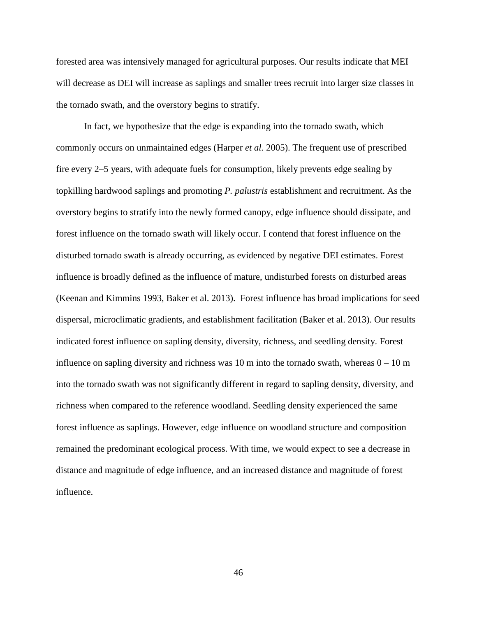forested area was intensively managed for agricultural purposes. Our results indicate that MEI will decrease as DEI will increase as saplings and smaller trees recruit into larger size classes in the tornado swath, and the overstory begins to stratify.

In fact, we hypothesize that the edge is expanding into the tornado swath, which commonly occurs on unmaintained edges (Harper *et al.* 2005). The frequent use of prescribed fire every 2–5 years, with adequate fuels for consumption, likely prevents edge sealing by topkilling hardwood saplings and promoting *P. palustris* establishment and recruitment. As the overstory begins to stratify into the newly formed canopy, edge influence should dissipate, and forest influence on the tornado swath will likely occur. I contend that forest influence on the disturbed tornado swath is already occurring, as evidenced by negative DEI estimates. Forest influence is broadly defined as the influence of mature, undisturbed forests on disturbed areas (Keenan and Kimmins 1993, Baker et al. 2013). Forest influence has broad implications for seed dispersal, microclimatic gradients, and establishment facilitation (Baker et al. 2013). Our results indicated forest influence on sapling density, diversity, richness, and seedling density. Forest influence on sapling diversity and richness was 10 m into the tornado swath, whereas  $0 - 10$  m into the tornado swath was not significantly different in regard to sapling density, diversity, and richness when compared to the reference woodland. Seedling density experienced the same forest influence as saplings. However, edge influence on woodland structure and composition remained the predominant ecological process. With time, we would expect to see a decrease in distance and magnitude of edge influence, and an increased distance and magnitude of forest influence.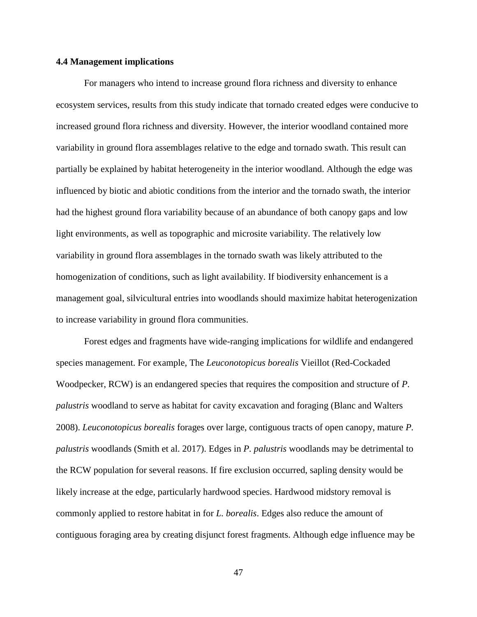#### **4.4 Management implications**

For managers who intend to increase ground flora richness and diversity to enhance ecosystem services, results from this study indicate that tornado created edges were conducive to increased ground flora richness and diversity. However, the interior woodland contained more variability in ground flora assemblages relative to the edge and tornado swath. This result can partially be explained by habitat heterogeneity in the interior woodland. Although the edge was influenced by biotic and abiotic conditions from the interior and the tornado swath, the interior had the highest ground flora variability because of an abundance of both canopy gaps and low light environments, as well as topographic and microsite variability. The relatively low variability in ground flora assemblages in the tornado swath was likely attributed to the homogenization of conditions, such as light availability. If biodiversity enhancement is a management goal, silvicultural entries into woodlands should maximize habitat heterogenization to increase variability in ground flora communities.

Forest edges and fragments have wide-ranging implications for wildlife and endangered species management. For example, The *Leuconotopicus borealis* Vieillot (Red-Cockaded Woodpecker, RCW) is an endangered species that requires the composition and structure of *P. palustris* woodland to serve as habitat for cavity excavation and foraging (Blanc and Walters 2008). *Leuconotopicus borealis* forages over large, contiguous tracts of open canopy, mature *P. palustris* woodlands (Smith et al. 2017). Edges in *P. palustris* woodlands may be detrimental to the RCW population for several reasons. If fire exclusion occurred, sapling density would be likely increase at the edge, particularly hardwood species. Hardwood midstory removal is commonly applied to restore habitat in for *L. borealis*. Edges also reduce the amount of contiguous foraging area by creating disjunct forest fragments. Although edge influence may be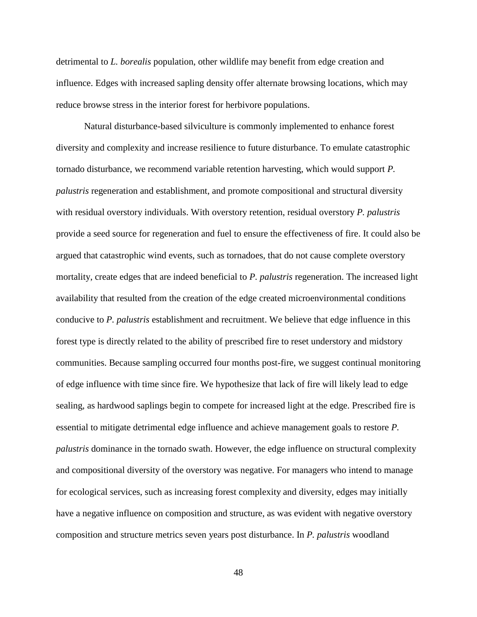detrimental to *L. borealis* population, other wildlife may benefit from edge creation and influence. Edges with increased sapling density offer alternate browsing locations, which may reduce browse stress in the interior forest for herbivore populations.

Natural disturbance-based silviculture is commonly implemented to enhance forest diversity and complexity and increase resilience to future disturbance. To emulate catastrophic tornado disturbance, we recommend variable retention harvesting, which would support *P. palustris* regeneration and establishment, and promote compositional and structural diversity with residual overstory individuals. With overstory retention, residual overstory *P. palustris* provide a seed source for regeneration and fuel to ensure the effectiveness of fire. It could also be argued that catastrophic wind events, such as tornadoes, that do not cause complete overstory mortality, create edges that are indeed beneficial to *P. palustris* regeneration. The increased light availability that resulted from the creation of the edge created microenvironmental conditions conducive to *P. palustris* establishment and recruitment. We believe that edge influence in this forest type is directly related to the ability of prescribed fire to reset understory and midstory communities. Because sampling occurred four months post-fire, we suggest continual monitoring of edge influence with time since fire. We hypothesize that lack of fire will likely lead to edge sealing, as hardwood saplings begin to compete for increased light at the edge. Prescribed fire is essential to mitigate detrimental edge influence and achieve management goals to restore *P. palustris* dominance in the tornado swath. However, the edge influence on structural complexity and compositional diversity of the overstory was negative. For managers who intend to manage for ecological services, such as increasing forest complexity and diversity, edges may initially have a negative influence on composition and structure, as was evident with negative overstory composition and structure metrics seven years post disturbance. In *P. palustris* woodland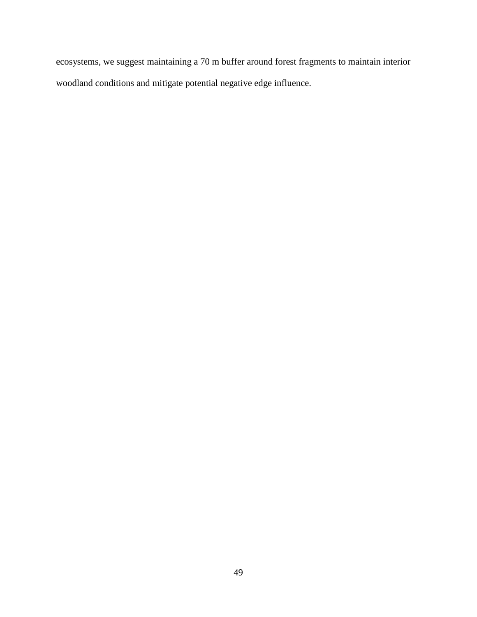ecosystems, we suggest maintaining a 70 m buffer around forest fragments to maintain interior woodland conditions and mitigate potential negative edge influence.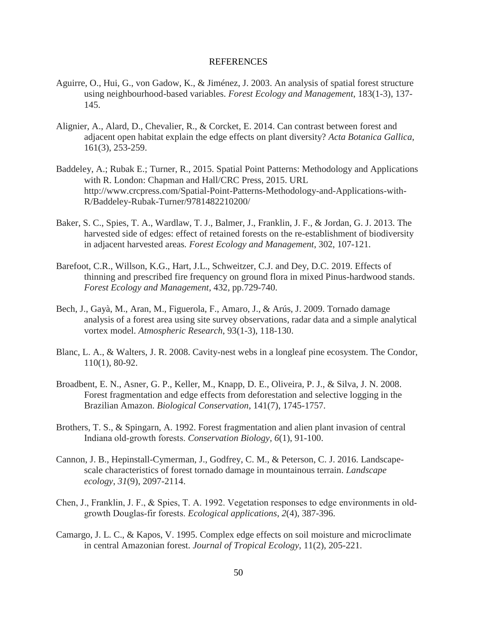#### REFERENCES

- Aguirre, O., Hui, G., von Gadow, K., & Jiménez, J. 2003. An analysis of spatial forest structure using neighbourhood-based variables. *Forest Ecology and Management*, 183(1-3), 137- 145.
- Alignier, A., Alard, D., Chevalier, R., & Corcket, E. 2014. Can contrast between forest and adjacent open habitat explain the edge effects on plant diversity? *Acta Botanica Gallica*, 161(3), 253-259.
- Baddeley, A.; Rubak E.; Turner, R., 2015. Spatial Point Patterns: Methodology and Applications with R. London: Chapman and Hall/CRC Press, 2015. URL http://www.crcpress.com/Spatial-Point-Patterns-Methodology-and-Applications-with-R/Baddeley-Rubak-Turner/9781482210200/
- Baker, S. C., Spies, T. A., Wardlaw, T. J., Balmer, J., Franklin, J. F., & Jordan, G. J. 2013. The harvested side of edges: effect of retained forests on the re-establishment of biodiversity in adjacent harvested areas*. Forest Ecology and Management*, 302, 107-121.
- Barefoot, C.R., Willson, K.G., Hart, J.L., Schweitzer, C.J. and Dey, D.C. 2019. Effects of thinning and prescribed fire frequency on ground flora in mixed Pinus-hardwood stands. *Forest Ecology and Management*, 432, pp.729-740.
- Bech, J., Gayà, M., Aran, M., Figuerola, F., Amaro, J., & Arús, J. 2009. Tornado damage analysis of a forest area using site survey observations, radar data and a simple analytical vortex model. *Atmospheric Research*, 93(1-3), 118-130.
- Blanc, L. A., & Walters, J. R. 2008. Cavity-nest webs in a longleaf pine ecosystem. The Condor, 110(1), 80-92.
- Broadbent, E. N., Asner, G. P., Keller, M., Knapp, D. E., Oliveira, P. J., & Silva, J. N. 2008. Forest fragmentation and edge effects from deforestation and selective logging in the Brazilian Amazon. *Biological Conservation*, 141(7), 1745-1757.
- Brothers, T. S., & Spingarn, A. 1992. Forest fragmentation and alien plant invasion of central Indiana old‐growth forests. *Conservation Biology*, *6*(1), 91-100.
- Cannon, J. B., Hepinstall-Cymerman, J., Godfrey, C. M., & Peterson, C. J. 2016. Landscapescale characteristics of forest tornado damage in mountainous terrain. *Landscape ecology*, *31*(9), 2097-2114.
- Chen, J., Franklin, J. F., & Spies, T. A. 1992. Vegetation responses to edge environments in old‐ growth Douglas‐fir forests. *Ecological applications*, *2*(4), 387-396.
- Camargo, J. L. C., & Kapos, V. 1995. Complex edge effects on soil moisture and microclimate in central Amazonian forest. *Journal of Tropical Ecology*, 11(2), 205-221.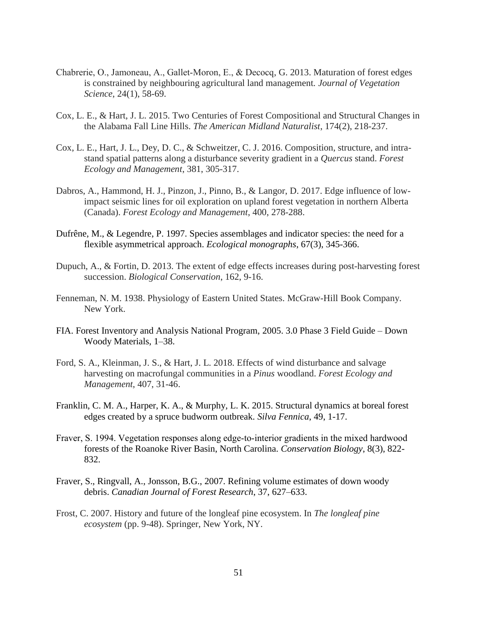- Chabrerie, O., Jamoneau, A., Gallet‐Moron, E., & Decocq, G. 2013. Maturation of forest edges is constrained by neighbouring agricultural land management*. Journal of Vegetation Science*, 24(1), 58-69.
- Cox, L. E., & Hart, J. L. 2015. Two Centuries of Forest Compositional and Structural Changes in the Alabama Fall Line Hills. *The American Midland Naturalist*, 174(2), 218-237.
- Cox, L. E., Hart, J. L., Dey, D. C., & Schweitzer, C. J. 2016. Composition, structure, and intrastand spatial patterns along a disturbance severity gradient in a *Quercus* stand. *Forest Ecology and Management*, 381, 305-317.
- Dabros, A., Hammond, H. J., Pinzon, J., Pinno, B., & Langor, D. 2017. Edge influence of lowimpact seismic lines for oil exploration on upland forest vegetation in northern Alberta (Canada). *Forest Ecology and Management*, 400, 278-288.
- Dufrêne, M., & Legendre, P. 1997. Species assemblages and indicator species: the need for a flexible asymmetrical approach. *Ecological monographs*, 67(3), 345-366.
- Dupuch, A., & Fortin, D. 2013. The extent of edge effects increases during post-harvesting forest succession. *Biological Conservation*, 162, 9-16.
- Fenneman, N. M. 1938. Physiology of Eastern United States. McGraw-Hill Book Company. New York.
- FIA. Forest Inventory and Analysis National Program, 2005. 3.0 Phase 3 Field Guide Down Woody Materials, 1–38.
- Ford, S. A., Kleinman, J. S., & Hart, J. L. 2018. Effects of wind disturbance and salvage harvesting on macrofungal communities in a *Pinus* woodland. *Forest Ecology and Management*, 407, 31-46.
- Franklin, C. M. A., Harper, K. A., & Murphy, L. K. 2015. Structural dynamics at boreal forest edges created by a spruce budworm outbreak. *Silva Fennica*, 49, 1-17.
- Fraver, S. 1994. Vegetation responses along edge-to-interior gradients in the mixed hardwood forests of the Roanoke River Basin, North Carolina. *Conservation Biology*, 8(3), 822- 832.
- Fraver, S., Ringvall, A., Jonsson, B.G., 2007. Refining volume estimates of down woody debris. *Canadian Journal of Forest Research*, 37, 627–633.
- Frost, C. 2007. History and future of the longleaf pine ecosystem. In *The longleaf pine ecosystem* (pp. 9-48). Springer, New York, NY.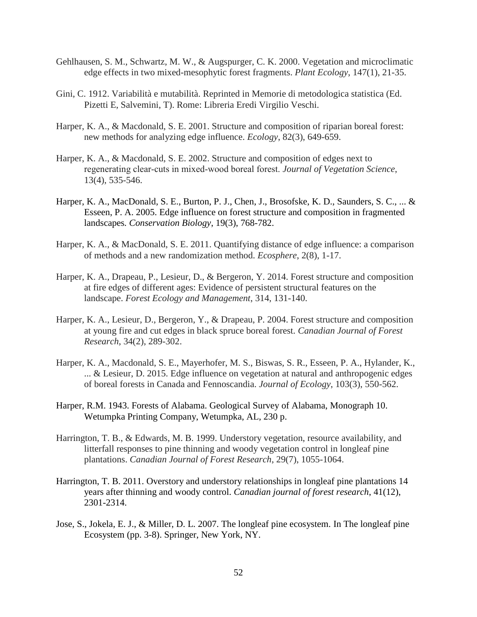- Gehlhausen, S. M., Schwartz, M. W., & Augspurger, C. K. 2000. Vegetation and microclimatic edge effects in two mixed-mesophytic forest fragments. *Plant Ecology*, 147(1), 21-35.
- Gini, C. 1912. Variabilità e mutabilità. Reprinted in Memorie di metodologica statistica (Ed. Pizetti E, Salvemini, T). Rome: Libreria Eredi Virgilio Veschi.
- Harper, K. A., & Macdonald, S. E. 2001. Structure and composition of riparian boreal forest: new methods for analyzing edge influence. *Ecology*, 82(3), 649-659.
- Harper, K. A., & Macdonald, S. E. 2002. Structure and composition of edges next to regenerating clear‐cuts in mixed‐wood boreal forest. *Journal of Vegetation Science*, 13(4), 535-546.
- Harper, K. A., MacDonald, S. E., Burton, P. J., Chen, J., Brosofske, K. D., Saunders, S. C., ... & Esseen, P. A. 2005. Edge influence on forest structure and composition in fragmented landscapes*. Conservation Biology*, 19(3), 768-782.
- Harper, K. A., & MacDonald, S. E. 2011. Quantifying distance of edge influence: a comparison of methods and a new randomization method. *Ecosphere*, 2(8), 1-17.
- Harper, K. A., Drapeau, P., Lesieur, D., & Bergeron, Y. 2014. Forest structure and composition at fire edges of different ages: Evidence of persistent structural features on the landscape. *Forest Ecology and Management*, 314, 131-140.
- Harper, K. A., Lesieur, D., Bergeron, Y., & Drapeau, P. 2004. Forest structure and composition at young fire and cut edges in black spruce boreal forest. *Canadian Journal of Forest Research*, 34(2), 289-302.
- Harper, K. A., Macdonald, S. E., Mayerhofer, M. S., Biswas, S. R., Esseen, P. A., Hylander, K., ... & Lesieur, D. 2015. Edge influence on vegetation at natural and anthropogenic edges of boreal forests in Canada and Fennoscandia. *Journal of Ecology*, 103(3), 550-562.
- Harper, R.M. 1943. Forests of Alabama. Geological Survey of Alabama, Monograph 10. Wetumpka Printing Company, Wetumpka, AL, 230 p.
- Harrington, T. B., & Edwards, M. B. 1999. Understory vegetation, resource availability, and litterfall responses to pine thinning and woody vegetation control in longleaf pine plantations. *Canadian Journal of Forest Research*, 29(7), 1055-1064.
- Harrington, T. B. 2011. Overstory and understory relationships in longleaf pine plantations 14 years after thinning and woody control. *Canadian journal of forest research*, 41(12), 2301-2314.
- Jose, S., Jokela, E. J., & Miller, D. L. 2007. The longleaf pine ecosystem. In The longleaf pine Ecosystem (pp. 3-8). Springer, New York, NY.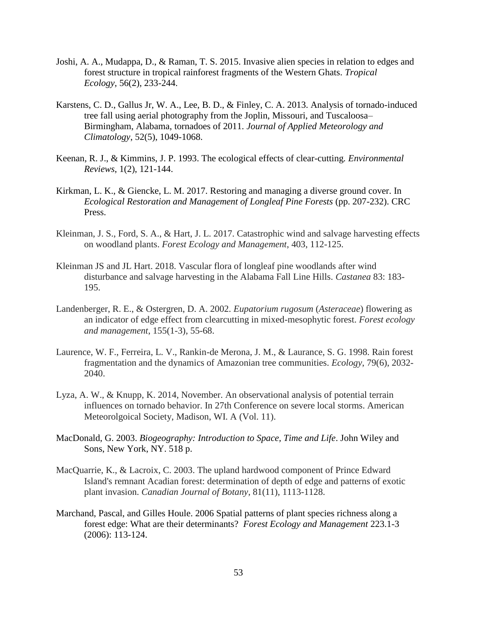- Joshi, A. A., Mudappa, D., & Raman, T. S. 2015. Invasive alien species in relation to edges and forest structure in tropical rainforest fragments of the Western Ghats. *Tropical Ecology*, 56(2), 233-244.
- Karstens, C. D., Gallus Jr, W. A., Lee, B. D., & Finley, C. A. 2013. Analysis of tornado-induced tree fall using aerial photography from the Joplin, Missouri, and Tuscaloosa– Birmingham, Alabama, tornadoes of 2011. *Journal of Applied Meteorology and Climatology*, 52(5), 1049-1068.
- Keenan, R. J., & Kimmins, J. P. 1993. The ecological effects of clear-cutting*. Environmental Reviews*, 1(2), 121-144.
- Kirkman, L. K., & Giencke, L. M. 2017. Restoring and managing a diverse ground cover. In *Ecological Restoration and Management of Longleaf Pine Forests* (pp. 207-232). CRC Press.
- Kleinman, J. S., Ford, S. A., & Hart, J. L. 2017. Catastrophic wind and salvage harvesting effects on woodland plants. *Forest Ecology and Management*, 403, 112-125.
- Kleinman JS and JL Hart. 2018. Vascular flora of longleaf pine woodlands after wind disturbance and salvage harvesting in the Alabama Fall Line Hills. *Castanea* 83: 183- 195.
- Landenberger, R. E., & Ostergren, D. A. 2002. *Eupatorium rugosum* (*Asteraceae*) flowering as an indicator of edge effect from clearcutting in mixed-mesophytic forest. *Forest ecology and management*, 155(1-3), 55-68.
- Laurence, W. F., Ferreira, L. V., Rankin-de Merona, J. M., & Laurance, S. G. 1998. Rain forest fragmentation and the dynamics of Amazonian tree communities. *Ecology*, 79(6), 2032- 2040.
- Lyza, A. W., & Knupp, K. 2014, November. An observational analysis of potential terrain influences on tornado behavior. In 27th Conference on severe local storms. American Meteorolgoical Society, Madison, WI. A (Vol. 11).
- MacDonald, G. 2003. *Biogeography: Introduction to Space, Time and Life*. John Wiley and Sons, New York, NY. 518 p.
- MacQuarrie, K., & Lacroix, C. 2003. The upland hardwood component of Prince Edward Island's remnant Acadian forest: determination of depth of edge and patterns of exotic plant invasion. *Canadian Journal of Botany*, 81(11), 1113-1128.
- Marchand, Pascal, and Gilles Houle. 2006 Spatial patterns of plant species richness along a forest edge: What are their determinants? *Forest Ecology and Management* 223.1-3 (2006): 113-124.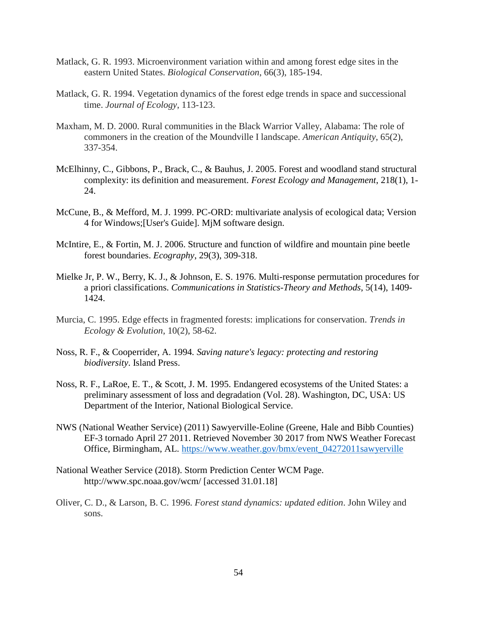- Matlack, G. R. 1993. Microenvironment variation within and among forest edge sites in the eastern United States. *Biological Conservation*, 66(3), 185-194.
- Matlack, G. R. 1994. Vegetation dynamics of the forest edge trends in space and successional time. *Journal of Ecology*, 113-123.
- Maxham, M. D. 2000. Rural communities in the Black Warrior Valley, Alabama: The role of commoners in the creation of the Moundville I landscape. *American Antiquity*, 65(2), 337-354.
- McElhinny, C., Gibbons, P., Brack, C., & Bauhus, J. 2005. Forest and woodland stand structural complexity: its definition and measurement. *Forest Ecology and Management*, 218(1), 1- 24.
- McCune, B., & Mefford, M. J. 1999. PC-ORD: multivariate analysis of ecological data; Version 4 for Windows;[User's Guide]. MjM software design.
- McIntire, E., & Fortin, M. J. 2006. Structure and function of wildfire and mountain pine beetle forest boundaries. *Ecography*, 29(3), 309-318.
- Mielke Jr, P. W., Berry, K. J., & Johnson, E. S. 1976. Multi-response permutation procedures for a priori classifications. *Communications in Statistics-Theory and Methods*, 5(14), 1409- 1424.
- Murcia, C. 1995. Edge effects in fragmented forests: implications for conservation. *Trends in Ecology & Evolution*, 10(2), 58-62.
- Noss, R. F., & Cooperrider, A. 1994*. Saving nature's legacy: protecting and restoring biodiversity*. Island Press.
- Noss, R. F., LaRoe, E. T., & Scott, J. M. 1995. Endangered ecosystems of the United States: a preliminary assessment of loss and degradation (Vol. 28). Washington, DC, USA: US Department of the Interior, National Biological Service.
- NWS (National Weather Service) (2011) Sawyerville-Eoline (Greene, Hale and Bibb Counties) EF-3 tornado April 27 2011. Retrieved November 30 2017 from NWS Weather Forecast Office, Birmingham, AL. [https://www.weather.gov/bmx/event\\_04272011sawyerville](https://www.weather.gov/bmx/event_04272011sawyerville)
- National Weather Service (2018). Storm Prediction Center WCM Page. http://www.spc.noaa.gov/wcm/ [accessed 31.01.18]
- Oliver, C. D., & Larson, B. C. 1996. *Forest stand dynamics: updated edition*. John Wiley and sons.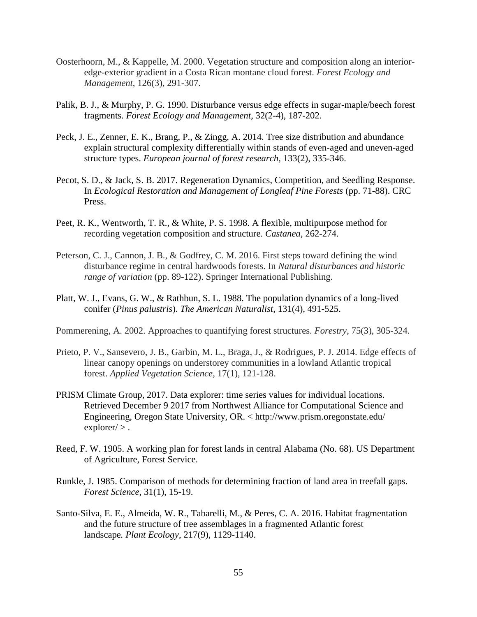- Oosterhoorn, M., & Kappelle, M. 2000. Vegetation structure and composition along an interioredge-exterior gradient in a Costa Rican montane cloud forest. *Forest Ecology and Management*, 126(3), 291-307.
- Palik, B. J., & Murphy, P. G. 1990. Disturbance versus edge effects in sugar-maple/beech forest fragments. *Forest Ecology and Management*, 32(2-4), 187-202.
- Peck, J. E., Zenner, E. K., Brang, P., & Zingg, A. 2014. Tree size distribution and abundance explain structural complexity differentially within stands of even-aged and uneven-aged structure types. *European journal of forest research*, 133(2), 335-346.
- Pecot, S. D., & Jack, S. B. 2017. Regeneration Dynamics, Competition, and Seedling Response. In *Ecological Restoration and Management of Longleaf Pine Forests* (pp. 71-88). CRC Press.
- Peet, R. K., Wentworth, T. R., & White, P. S. 1998. A flexible, multipurpose method for recording vegetation composition and structure. *Castanea*, 262-274.
- Peterson, C. J., Cannon, J. B., & Godfrey, C. M. 2016. First steps toward defining the wind disturbance regime in central hardwoods forests. In *Natural disturbances and historic range of variation* (pp. 89-122). Springer International Publishing.
- Platt, W. J., Evans, G. W., & Rathbun, S. L. 1988. The population dynamics of a long-lived conifer (*Pinus palustris*). *The American Naturalist*, 131(4), 491-525.
- Pommerening, A. 2002. Approaches to quantifying forest structures. *Forestry*, 75(3), 305-324.
- Prieto, P. V., Sansevero, J. B., Garbin, M. L., Braga, J., & Rodrigues, P. J. 2014. Edge effects of linear canopy openings on understorey communities in a lowland Atlantic tropical forest. *Applied Vegetation Science*, 17(1), 121-128.
- PRISM Climate Group, 2017. Data explorer: time series values for individual locations. Retrieved December 9 2017 from Northwest Alliance for Computational Science and Engineering, Oregon State University, OR. < http://www.prism.oregonstate.edu/  $exploreer/$ .
- Reed, F. W. 1905. A working plan for forest lands in central Alabama (No. 68). US Department of Agriculture, Forest Service.
- Runkle, J. 1985. Comparison of methods for determining fraction of land area in treefall gaps. *Forest Science*, 31(1), 15-19.
- Santo-Silva, E. E., Almeida, W. R., Tabarelli, M., & Peres, C. A. 2016. Habitat fragmentation and the future structure of tree assemblages in a fragmented Atlantic forest landscape*. Plant Ecology*, 217(9), 1129-1140.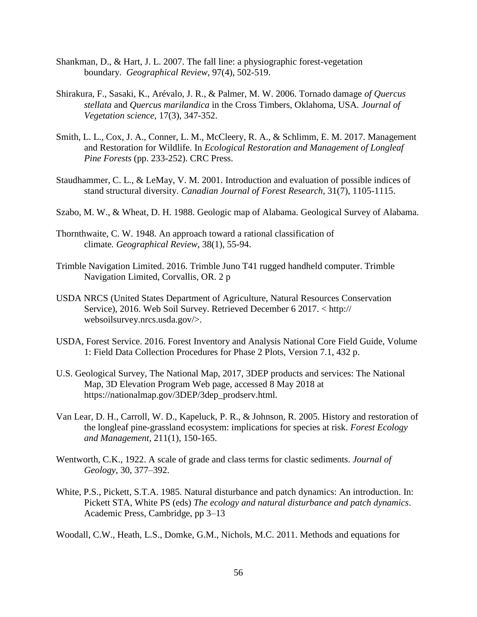- Shankman, D., & Hart, J. L. 2007. The fall line: a physiographic forest-vegetation boundary. *Geographical Review*, 97(4), 502-519.
- Shirakura, F., Sasaki, K., Arévalo, J. R., & Palmer, M. W. 2006. Tornado damage *of Quercus stellata* and *Quercus marilandica* in the Cross Timbers, Oklahoma, USA*. Journal of Vegetation science*, 17(3), 347-352.
- Smith, L. L., Cox, J. A., Conner, L. M., McCleery, R. A., & Schlimm, E. M. 2017. Management and Restoration for Wildlife. In *Ecological Restoration and Management of Longleaf Pine Forests* (pp. 233-252). CRC Press.
- Staudhammer, C. L., & LeMay, V. M. 2001. Introduction and evaluation of possible indices of stand structural diversity. *Canadian Journal of Forest Research*, 31(7), 1105-1115.
- Szabo, M. W., & Wheat, D. H. 1988. Geologic map of Alabama. Geological Survey of Alabama.
- Thornthwaite, C. W. 1948. An approach toward a rational classification of climate*. Geographical Review*, 38(1), 55-94.
- Trimble Navigation Limited. 2016. Trimble Juno T41 rugged handheld computer. Trimble Navigation Limited, Corvallis, OR. 2 p
- USDA NRCS (United States Department of Agriculture, Natural Resources Conservation Service), 2016. Web Soil Survey. Retrieved December 6 2017. < http:// websoilsurvey.nrcs.usda.gov/>.
- USDA, Forest Service. 2016. Forest Inventory and Analysis National Core Field Guide, Volume 1: Field Data Collection Procedures for Phase 2 Plots, Version 7.1, 432 p.
- U.S. Geological Survey, The National Map, 2017, 3DEP products and services: The National Map, 3D Elevation Program Web page, accessed 8 May 2018 at https://nationalmap.gov/3DEP/3dep\_prodserv.html.
- Van Lear, D. H., Carroll, W. D., Kapeluck, P. R., & Johnson, R. 2005. History and restoration of the longleaf pine-grassland ecosystem: implications for species at risk. *Forest Ecology and Management*, 211(1), 150-165.
- Wentworth, C.K., 1922. A scale of grade and class terms for clastic sediments. *Journal of Geology*, 30, 377–392.
- White, P.S., Pickett, S.T.A. 1985. Natural disturbance and patch dynamics: An introduction. In: Pickett STA, White PS (eds) *The ecology and natural disturbance and patch dynamics*. Academic Press, Cambridge, pp 3–13

Woodall, C.W., Heath, L.S., Domke, G.M., Nichols, M.C. 2011. Methods and equations for